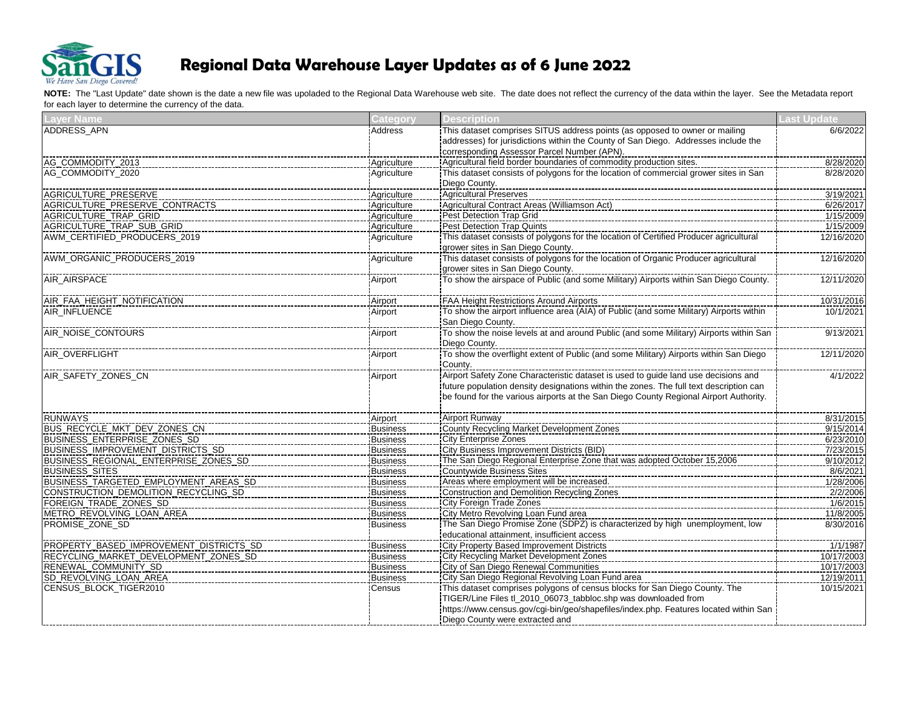

| <b>Layer Name</b>                       | <b>Category</b> | <b>Description</b>                                                                                                                                                                                               | <b>Last Update</b> |
|-----------------------------------------|-----------------|------------------------------------------------------------------------------------------------------------------------------------------------------------------------------------------------------------------|--------------------|
| <b>ADDRESS APN</b>                      | Address         | This dataset comprises SITUS address points (as opposed to owner or mailing                                                                                                                                      | 6/6/2022           |
|                                         |                 | addresses) for jurisdictions within the County of San Diego. Addresses include the                                                                                                                               |                    |
|                                         |                 | corresponding Assessor Parcel Number (APN).                                                                                                                                                                      |                    |
| AG_COMMODITY_2013                       | Agriculture     |                                                                                                                                                                                                                  | 8/28/2020          |
| AG_COMMODITY_2020                       | Agriculture     | This dataset consists of polygons for the location of commercial grower sites in San                                                                                                                             | 8/28/2020          |
|                                         |                 | Diego County.                                                                                                                                                                                                    |                    |
| AGRICULTURE_PRESERVE                    | Agriculture     | <b>Agricultural Preserves</b>                                                                                                                                                                                    | 3/19/2021          |
| AGRICULTURE_PRESERVE_CONTRACTS          | Agriculture     | Agricultural Contract Areas (Williamson Act)                                                                                                                                                                     | 6/26/2017          |
| <b>AGRICULTURE TRAP GRID</b>            | Agriculture     | Pest Detection Trap Grid                                                                                                                                                                                         | 1/15/2009          |
| AGRICULTURE_TRAP_SUB_GRID               | Agriculture     | Pest Detection Trap Quints                                                                                                                                                                                       | 1/15/2009          |
| AWM_CERTIFIED_PRODUCERS_2019            | Agriculture     | This dataset consists of polygons for the location of Certified Producer agricultural                                                                                                                            | 12/16/2020         |
|                                         |                 | grower sites in San Diego County.                                                                                                                                                                                |                    |
| AWM_ORGANIC_PRODUCERS_2019              | Agriculture     | This dataset consists of polygons for the location of Organic Producer agricultural                                                                                                                              | 12/16/2020         |
|                                         |                 | grower sites in San Diego County.                                                                                                                                                                                |                    |
| AIR_AIRSPACE                            | Airport         |                                                                                                                                                                                                                  | 12/11/2020         |
|                                         |                 |                                                                                                                                                                                                                  |                    |
| AIR FAA HEIGHT NOTIFICATION             | Airport         | FAA Height Restrictions Around Airports                                                                                                                                                                          | 10/31/2016         |
| <b>AIR INFLUENCE</b>                    | Airport         | To show the airport influence area (AIA) of Public (and some Military) Airports within                                                                                                                           | 10/1/2021          |
|                                         |                 | San Diego County.                                                                                                                                                                                                |                    |
| AIR_NOISE_CONTOURS                      | Airport         | <u>Unit Broger USC (Network-Network-Network-Network-Network-Network-Network-Network-Network-Network-Network-Network</u><br>To show the noise levels at and around Public (and some Military) Airports within San | 9/13/2021          |
|                                         |                 | Diego County.                                                                                                                                                                                                    |                    |
| AIR OVERFLIGHT                          | Airport         |                                                                                                                                                                                                                  | 12/11/2020         |
|                                         |                 | County.                                                                                                                                                                                                          |                    |
| AIR_SAFETY_ZONES_CN                     | Airport         |                                                                                                                                                                                                                  | 4/1/2022           |
|                                         |                 | future population density designations within the zones. The full text description can                                                                                                                           |                    |
|                                         |                 | be found for the various airports at the San Diego County Regional Airport Authority.                                                                                                                            |                    |
|                                         |                 |                                                                                                                                                                                                                  |                    |
| <b>RUNWAYS</b>                          | Airport         | <b>Airport Runway</b>                                                                                                                                                                                            | 8/31/2015          |
| BUS_RECYCLE_MKT_DEV_ZONES_CN            | <b>Business</b> | County Recycling Market Development Zones                                                                                                                                                                        | 9/15/2014          |
| BUSINESS_ENTERPRISE_ZONES_SD            | <b>Business</b> | City Enterprise Zones                                                                                                                                                                                            | 6/23/2010          |
| BUSINESS_IMPROVEMENT_DISTRICTS_SD       | <b>Business</b> | City Business Improvement Districts (BID)                                                                                                                                                                        | 7/23/2015          |
| BUSINESS_REGIONAL_ENTERPRISE_ZONES_SD   | <b>Business</b> | The San Diego Regional Enterprise Zone that was adopted October 15,2006                                                                                                                                          | 9/10/2012          |
| <b>BUSINESS_SITES</b>                   | <b>Business</b> | Countywide Business Sites                                                                                                                                                                                        | 8/6/2021           |
| BUSINESS_TARGETED_EMPLOYMENT_AREAS_SD   | <b>Business</b> | Areas where employment will be increased.                                                                                                                                                                        | 1/28/2006          |
| CONSTRUCTION_DEMOLITION_RECYCLING_SD    | <b>Business</b> | Construction and Demolition Recycling Zones                                                                                                                                                                      | 2/2/2006           |
| FOREIGN_TRADE_ZONES_SD                  | <b>Business</b> | City Foreign Trade Zones                                                                                                                                                                                         | 1/6/2015           |
| METRO_REVOLVING_LOAN_AREA               | <b>Business</b> | City Metro Revolving Loan Fund area                                                                                                                                                                              | 11/8/2005          |
| PROMISE_ZONE_SD                         | <b>Business</b> |                                                                                                                                                                                                                  | 8/30/2016          |
|                                         |                 | educational attainment, insufficient access                                                                                                                                                                      |                    |
| PROPERTY_BASED_IMPROVEMENT_DISTRICTS_SD | <b>Business</b> | City Property Based Improvement Districts                                                                                                                                                                        | 1/1/1987           |
| RECYCLING_MARKET_DEVELOPMENT_ZONES_SD   | <b>Business</b> | City Recycling Market Development Zones                                                                                                                                                                          | 10/17/2003         |
| RENEWAL_COMMUNITY_SD                    | <b>Business</b> | City of San Diego Renewal Communities                                                                                                                                                                            | 10/17/2003         |
| SD_REVOLVING_LOAN_AREA                  | <b>Business</b> | ICity San Diego Regional Revolving Loan Fund area                                                                                                                                                                | 12/19/2011         |
| CENSUS_BLOCK_TIGER2010                  | Census          | This dataset comprises polygons of census blocks for San Diego County. The                                                                                                                                       | 10/15/2021         |
|                                         |                 | TIGER/Line Files tl_2010_06073_tabbloc.shp was downloaded from                                                                                                                                                   |                    |
|                                         |                 | https://www.census.gov/cgi-bin/geo/shapefiles/index.php. Features located within San                                                                                                                             |                    |
|                                         |                 | Diego County were extracted and                                                                                                                                                                                  |                    |
|                                         |                 |                                                                                                                                                                                                                  |                    |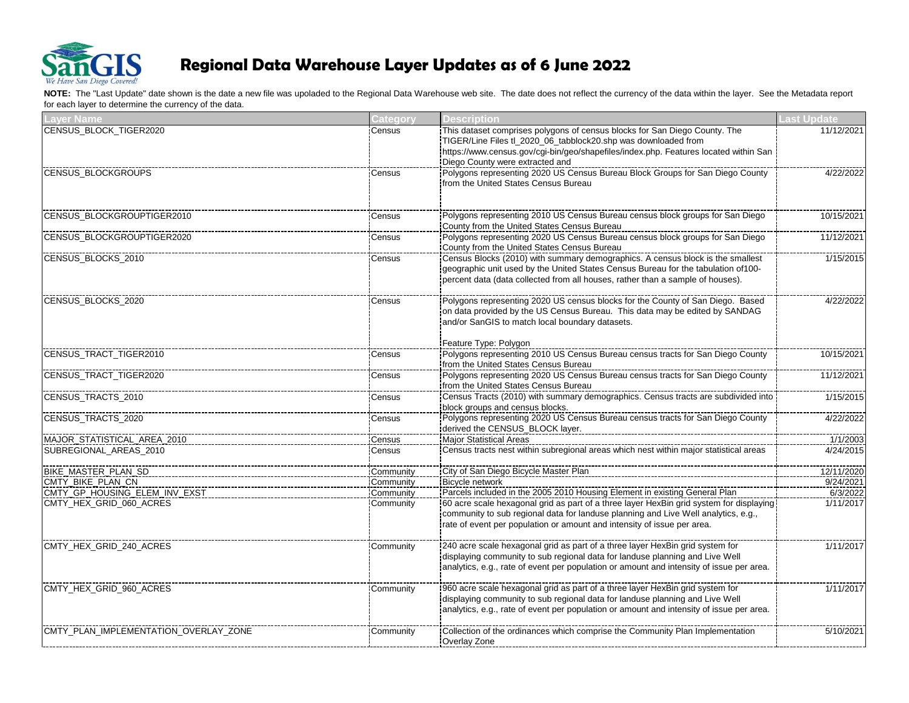

| <b>Layer Name</b>                     | Category  | <b>Description</b>                                                                                                                                                                                   | Last Update |
|---------------------------------------|-----------|------------------------------------------------------------------------------------------------------------------------------------------------------------------------------------------------------|-------------|
| CENSUS_BLOCK_TIGER2020                | Census    | This dataset comprises polygons of census blocks for San Diego County. The                                                                                                                           | 11/12/2021  |
|                                       |           | TIGER/Line Files tl_2020_06_tabblock20.shp was downloaded from                                                                                                                                       |             |
|                                       |           | https://www.census.gov/cgi-bin/geo/shapefiles/index.php. Features located within San                                                                                                                 |             |
|                                       |           | Diego County were extracted and                                                                                                                                                                      |             |
| <b>CENSUS BLOCKGROUPS</b>             | Census    |                                                                                                                                                                                                      | 4/22/2022   |
|                                       |           | from the United States Census Bureau                                                                                                                                                                 |             |
|                                       |           |                                                                                                                                                                                                      |             |
| CENSUS_BLOCKGROUPTIGER2010            | Census    | Polygons representing 2010 US Census Bureau census block groups for San Diego                                                                                                                        | 10/15/2021  |
|                                       |           | County from the United States Census Bureau                                                                                                                                                          |             |
| <b>CENSUS BLOCKGROUPTIGER2020</b>     | Census    |                                                                                                                                                                                                      | 11/12/2021  |
|                                       |           | County from the United States Census Bureau                                                                                                                                                          |             |
| CENSUS_BLOCKS_2010                    | Census    | Census Blocks (2010) with summary demographics. A census block is the smallest                                                                                                                       | 1/15/2015   |
|                                       |           | geographic unit used by the United States Census Bureau for the tabulation of 100-                                                                                                                   |             |
|                                       |           | percent data (data collected from all houses, rather than a sample of houses).                                                                                                                       |             |
|                                       |           |                                                                                                                                                                                                      |             |
| CENSUS BLOCKS 2020                    | Census    |                                                                                                                                                                                                      | 4/22/2022   |
|                                       |           | on data provided by the US Census Bureau. This data may be edited by SANDAG                                                                                                                          |             |
|                                       |           | and/or SanGIS to match local boundary datasets.                                                                                                                                                      |             |
|                                       |           |                                                                                                                                                                                                      |             |
|                                       |           | Feature Type: Polygon                                                                                                                                                                                |             |
| CENSUS_TRACT_TIGER2010                | Census    |                                                                                                                                                                                                      | 10/15/2021  |
|                                       |           | from the United States Census Bureau                                                                                                                                                                 |             |
| CENSUS TRACT TIGER2020                | Census    |                                                                                                                                                                                                      | 11/12/2021  |
|                                       |           | from the United States Census Bureau                                                                                                                                                                 |             |
| CENSUS_TRACTS_2010                    | Census    | https://www.community.community.community.community.community.community.community.community.community.communit<br> Census Tracts (2010) with summary demographics. Census tracts are subdivided into | 1/15/2015   |
|                                       |           | block groups and census blocks.                                                                                                                                                                      |             |
| CENSUS_TRACTS_2020                    | Census    |                                                                                                                                                                                                      | 4/22/2022   |
|                                       |           | derived the CENSUS_BLOCK layer.                                                                                                                                                                      |             |
| MAJOR_STATISTICAL_AREA_2010           | Census    | Major Statistical Areas                                                                                                                                                                              | 1/1/2003    |
| SUBREGIONAL_AREAS_2010                | Census    |                                                                                                                                                                                                      | 4/24/2015   |
| BIKE MASTER PLAN SD                   | Community | City of San Diego Bicycle Master Plan                                                                                                                                                                | 12/11/2020  |
| CMTY_BIKE_PLAN_CN                     | Community | <b>Bicycle network</b>                                                                                                                                                                               | 9/24/2021   |
| CMTY_GP_HOUSING_ELEM_INV_EXST         | Community |                                                                                                                                                                                                      | 6/3/2022    |
| CMTY_HEX_GRID_060_ACRES               | Community |                                                                                                                                                                                                      | 1/11/2017   |
|                                       |           | community to sub regional data for landuse planning and Live Well analytics, e.g.,                                                                                                                   |             |
|                                       |           | rate of event per population or amount and intensity of issue per area.                                                                                                                              |             |
|                                       |           |                                                                                                                                                                                                      |             |
| CMTY_HEX_GRID_240_ACRES               | Community |                                                                                                                                                                                                      | 1/11/2017   |
|                                       |           | displaying community to sub regional data for landuse planning and Live Well                                                                                                                         |             |
|                                       |           | analytics, e.g., rate of event per population or amount and intensity of issue per area.                                                                                                             |             |
| CMTY_HEX_GRID_960_ACRES               | Community |                                                                                                                                                                                                      | 1/11/2017   |
|                                       |           | displaying community to sub regional data for landuse planning and Live Well                                                                                                                         |             |
|                                       |           | analytics, e.g., rate of event per population or amount and intensity of issue per area.                                                                                                             |             |
|                                       |           |                                                                                                                                                                                                      |             |
| CMTY PLAN IMPLEMENTATION OVERLAY ZONE | Community | Collection of the ordinances which comprise the Community Plan Implementation                                                                                                                        | 5/10/2021   |
|                                       |           | Overlay Zone                                                                                                                                                                                         |             |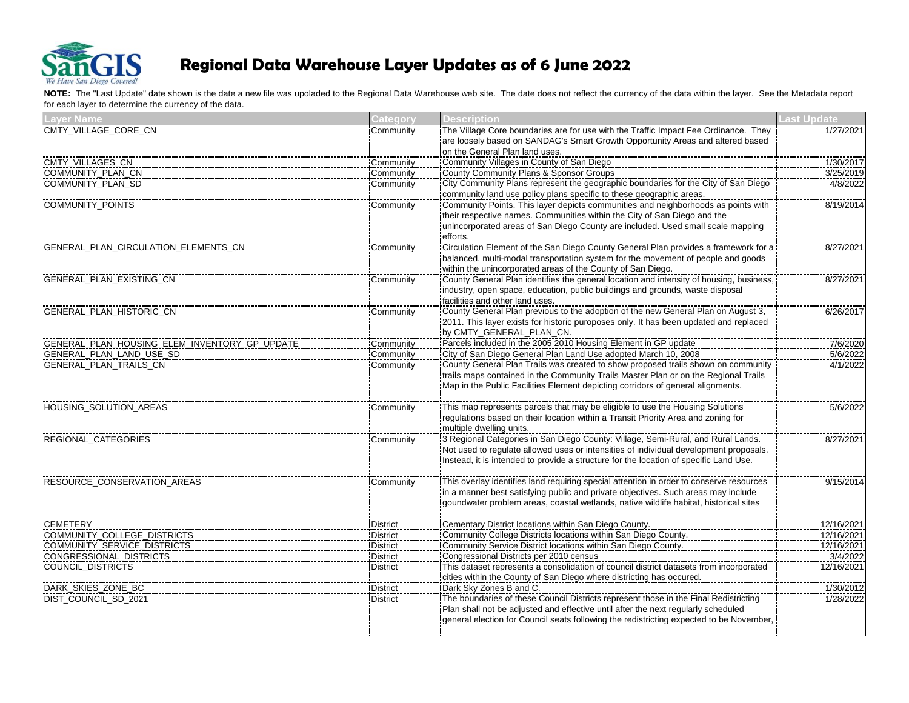

| <b>Layer Name</b>                             | Category        | <b>Description</b>                                                                      | <b>Last Update</b> |
|-----------------------------------------------|-----------------|-----------------------------------------------------------------------------------------|--------------------|
| CMTY_VILLAGE_CORE_CN                          | Community       | The Village Core boundaries are for use with the Traffic Impact Fee Ordinance. They     | 1/27/2021          |
|                                               |                 | are loosely based on SANDAG's Smart Growth Opportunity Areas and altered based          |                    |
|                                               |                 | on the General Plan land uses.                                                          |                    |
| CMTY_VILLAGES_CN                              | Community       | Community Villages in County of San Diego                                               | 1/30/2017          |
| COMMUNITY_PLAN_CN                             | Community       | County Community Plans & Sponsor Groups                                                 | 3/25/2019          |
| COMMUNITY_PLAN_SD                             | Community       |                                                                                         | 4/8/2022           |
|                                               |                 | community land use policy plans specific to these geographic areas.                     |                    |
| <b>COMMUNITY_POINTS</b>                       | Community       | Community Points. This layer depicts communities and neighborhoods as points with       | 8/19/2014          |
|                                               |                 | their respective names. Communities within the City of San Diego and the                |                    |
|                                               |                 | unincorporated areas of San Diego County are included. Used small scale mapping         |                    |
|                                               |                 | efforts.                                                                                |                    |
| GENERAL_PLAN_CIRCULATION_ELEMENTS_CN          | Community       |                                                                                         | 8/27/2021          |
|                                               |                 | balanced, multi-modal transportation system for the movement of people and goods        |                    |
|                                               |                 | within the unincorporated areas of the County of San Diego.                             |                    |
| GENERAL PLAN EXISTING CN                      | Community       |                                                                                         | 8/27/2021          |
|                                               |                 | industry, open space, education, public buildings and grounds, waste disposal           |                    |
|                                               |                 | facilities and other land uses.                                                         |                    |
| <b>GENERAL PLAN HISTORIC CN</b>               | Community       |                                                                                         | 6/26/2017          |
|                                               |                 | 2011. This layer exists for historic puroposes only. It has been updated and replaced   |                    |
|                                               |                 | by CMTY_GENERAL_PLAN_CN.                                                                |                    |
| GENERAL_PLAN_HOUSING_ELEM_INVENTORY_GP_UPDATE | Community       |                                                                                         | 7/6/2020           |
| GENERAL PLAN LAND USE SD                      | Community       |                                                                                         | 5/6/2022           |
| <b>GENERAL PLAN TRAILS CN</b>                 | Community       | County General Plan Trails was created to show proposed trails shown on community       | 4/1/2022           |
|                                               |                 | trails maps contained in the Community Trails Master Plan or on the Regional Trails     |                    |
|                                               |                 | Map in the Public Facilities Element depicting corridors of general alignments.         |                    |
| HOUSING_SOLUTION_AREAS                        | Community       | This map represents parcels that may be eligible to use the Housing Solutions           | 5/6/2022           |
|                                               |                 | regulations based on their location within a Transit Priority Area and zoning for       |                    |
|                                               |                 | multiple dwelling units.                                                                |                    |
| REGIONAL_CATEGORIES                           | Community       |                                                                                         | 8/27/2021          |
|                                               |                 | Not used to regulate allowed uses or intensities of individual development proposals.   |                    |
|                                               |                 | Instead, it is intended to provide a structure for the location of specific Land Use.   |                    |
| RESOURCE_CONSERVATION_AREAS                   | Community       |                                                                                         | 9/15/2014          |
|                                               |                 | in a manner best satisfying public and private objectives. Such areas may include       |                    |
|                                               |                 | goundwater problem areas, coastal wetlands, native wildlife habitat, historical sites   |                    |
| <b>CEMETERY</b>                               | District        | Cementary District locations within San Diego County.                                   | 12/16/2021         |
| COMMUNITY_COLLEGE_DISTRICTS                   | <b>District</b> | Community College Districts locations within San Diego County.                          | 12/16/2021         |
| COMMUNITY_SERVICE_DISTRICTS                   | <b>District</b> | ICommunity Service District locations within San Diego County.                          | 12/16/2021         |
| <b>CONGRESSIONAL_DISTRICTS</b>                | <b>District</b> | Congressional Districts per 2010 census                                                 | 3/4/2022           |
| COUNCIL_DISTRICTS                             | <b>District</b> |                                                                                         | 12/16/2021         |
|                                               |                 | cities within the County of San Diego where districting has occured.                    |                    |
| DARK SKIES ZONE BC                            | <b>District</b> | Dark Sky Zones B and C.                                                                 | 1/30/2012          |
| <b>DIST COUNCIL SD 2021</b>                   | <b>District</b> | The boundaries of these Council Districts represent those in the Final Redistricting    | 1/28/2022          |
|                                               |                 | Plan shall not be adjusted and effective until after the next regularly scheduled       |                    |
|                                               |                 | general election for Council seats following the redistricting expected to be November, |                    |
|                                               |                 |                                                                                         |                    |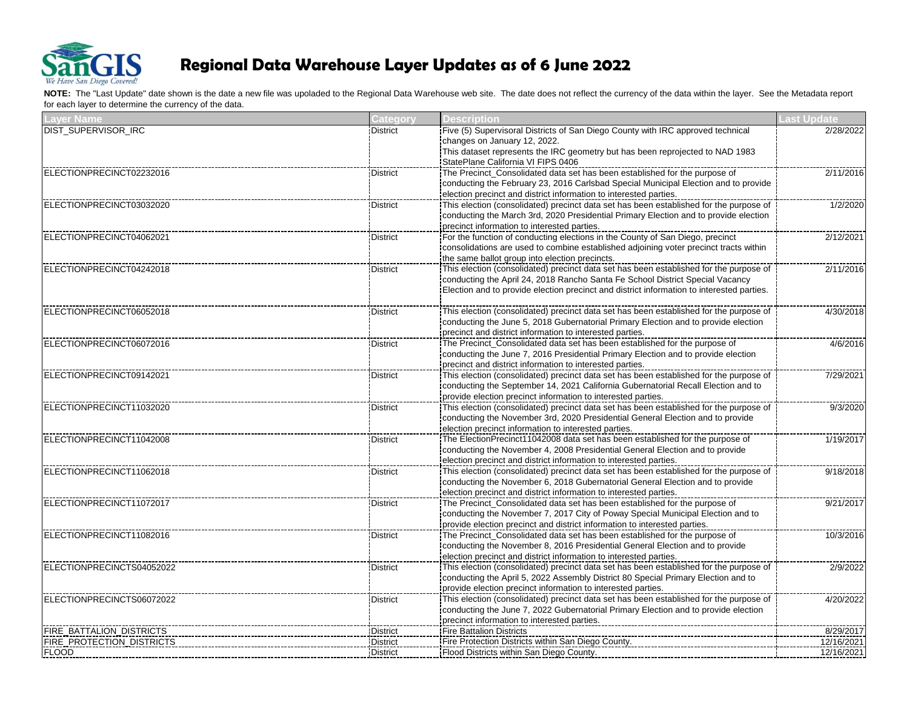

| <b>Laver Name</b>                | <b>Category</b> | <b>Description</b>                                                                                                                                          | <b>Last Update</b> |
|----------------------------------|-----------------|-------------------------------------------------------------------------------------------------------------------------------------------------------------|--------------------|
| <b>DIST SUPERVISOR IRC</b>       | <b>District</b> | Five (5) Supervisoral Districts of San Diego County with IRC approved technical                                                                             | 2/28/2022          |
|                                  |                 | changes on January 12, 2022.                                                                                                                                |                    |
|                                  |                 | This dataset represents the IRC geometry but has been reprojected to NAD 1983                                                                               |                    |
|                                  |                 | StatePlane California VI FIPS 0406                                                                                                                          |                    |
| ELECTIONPRECINCT02232016         | <b>District</b> | The Precinct_Consolidated data set has been established for the purpose of                                                                                  | 2/11/2016          |
|                                  |                 | conducting the February 23, 2016 Carlsbad Special Municipal Election and to provide                                                                         |                    |
|                                  |                 | election precinct and district information to interested parties.                                                                                           |                    |
| ELECTIONPRECINCT03032020         | <b>District</b> | This election (consolidated) precinct data set has been established for the purpose of                                                                      | 1/2/2020           |
|                                  |                 | conducting the March 3rd, 2020 Presidential Primary Election and to provide election                                                                        |                    |
|                                  |                 | precinct information to interested parties.                                                                                                                 |                    |
| ELECTIONPRECINCT04062021         | <b>District</b> | For the function of conducting elections in the County of San Diego, precinct                                                                               | 2/12/2021          |
|                                  |                 | consolidations are used to combine established adjoining voter precinct tracts within                                                                       |                    |
|                                  |                 | the same ballot group into election precincts.                                                                                                              |                    |
| ELECTIONPRECINCT04242018         | <b>District</b> | This election (consolidated) precinct data set has been established for the purpose of                                                                      | 2/11/2016          |
|                                  |                 | conducting the April 24, 2018 Rancho Santa Fe School District Special Vacancy                                                                               |                    |
|                                  |                 | Election and to provide election precinct and district information to interested parties.                                                                   |                    |
|                                  |                 |                                                                                                                                                             |                    |
| ELECTIONPRECINCT06052018         | <b>District</b> | This election (consolidated) precinct data set has been established for the purpose of                                                                      | 4/30/2018          |
|                                  |                 | conducting the June 5, 2018 Gubernatorial Primary Election and to provide election                                                                          |                    |
|                                  |                 | precinct and district information to interested parties.                                                                                                    |                    |
| ELECTIONPRECINCT06072016         | <b>District</b> | The Precinct_Consolidated data set has been established for the purpose of                                                                                  | 4/6/2016           |
|                                  |                 | conducting the June 7, 2016 Presidential Primary Election and to provide election                                                                           |                    |
|                                  |                 | precinct and district information to interested parties.                                                                                                    |                    |
| ELECTIONPRECINCT09142021         | <b>District</b> | This election (consolidated) precinct data set has been established for the purpose of                                                                      | 7/29/2021          |
|                                  |                 | conducting the September 14, 2021 California Gubernatorial Recall Election and to                                                                           |                    |
|                                  |                 | provide election precinct information to interested parties.                                                                                                |                    |
| ELECTIONPRECINCT11032020         | <b>District</b> | This election (consolidated) precinct data set has been established for the purpose of                                                                      | 9/3/2020           |
|                                  |                 | conducting the November 3rd, 2020 Presidential General Election and to provide                                                                              |                    |
|                                  |                 | election precinct information to interested parties.                                                                                                        |                    |
| ELECTIONPRECINCT11042008         | <b>District</b> | The ElectionPrecinct11042008 data set has been established for the purpose of                                                                               | 1/19/2017          |
|                                  |                 | conducting the November 4, 2008 Presidential General Election and to provide                                                                                |                    |
|                                  |                 | election precinct and district information to interested parties.                                                                                           |                    |
| ELECTIONPRECINCT11062018         | District        | This election (consolidated) precinct data set has been established for the purpose of                                                                      | 9/18/2018          |
|                                  |                 | conducting the November 6, 2018 Gubernatorial General Election and to provide                                                                               |                    |
|                                  |                 | election precinct and district information to interested parties.                                                                                           |                    |
| ELECTIONPRECINCT11072017         | <b>District</b> | The Precinct_Consolidated data set has been established for the purpose of                                                                                  | 9/21/2017          |
|                                  |                 | conducting the November 7, 2017 City of Poway Special Municipal Election and to                                                                             |                    |
|                                  |                 | provide election precinct and district information to interested parties.                                                                                   |                    |
| ELECTIONPRECINCT11082016         | <b>District</b> | The Precinct_Consolidated data set has been established for the purpose of                                                                                  | 10/3/2016          |
|                                  |                 | conducting the November 8, 2016 Presidential General Election and to provide                                                                                |                    |
|                                  |                 |                                                                                                                                                             |                    |
| ELECTIONPRECINCTS04052022        | <b>District</b> | election precinct and district information to interested parties.<br>This election (consolidated) precinct data set has been established for the purpose of | 2/9/2022           |
|                                  |                 |                                                                                                                                                             |                    |
|                                  |                 | conducting the April 5, 2022 Assembly District 80 Special Primary Election and to                                                                           |                    |
|                                  |                 | provide election precinct information to interested parties.                                                                                                |                    |
| ELECTIONPRECINCTS06072022        | <b>District</b> | This election (consolidated) precinct data set has been established for the purpose of                                                                      | 4/20/2022          |
|                                  |                 | conducting the June 7, 2022 Gubernatorial Primary Election and to provide election                                                                          |                    |
|                                  |                 | precinct information to interested parties.                                                                                                                 |                    |
| FIRE_BATTALION_DISTRICTS         | District        | <b>Fire Battalion Districts</b>                                                                                                                             | 8/29/2017          |
| <b>FIRE_PROTECTION_DISTRICTS</b> | <b>District</b> | Fire Protection Districts within San Diego County.                                                                                                          | 12/16/2021         |
| <b>FLOOD</b>                     | <b>District</b> | Flood Districts within San Diego County.                                                                                                                    | 12/16/2021         |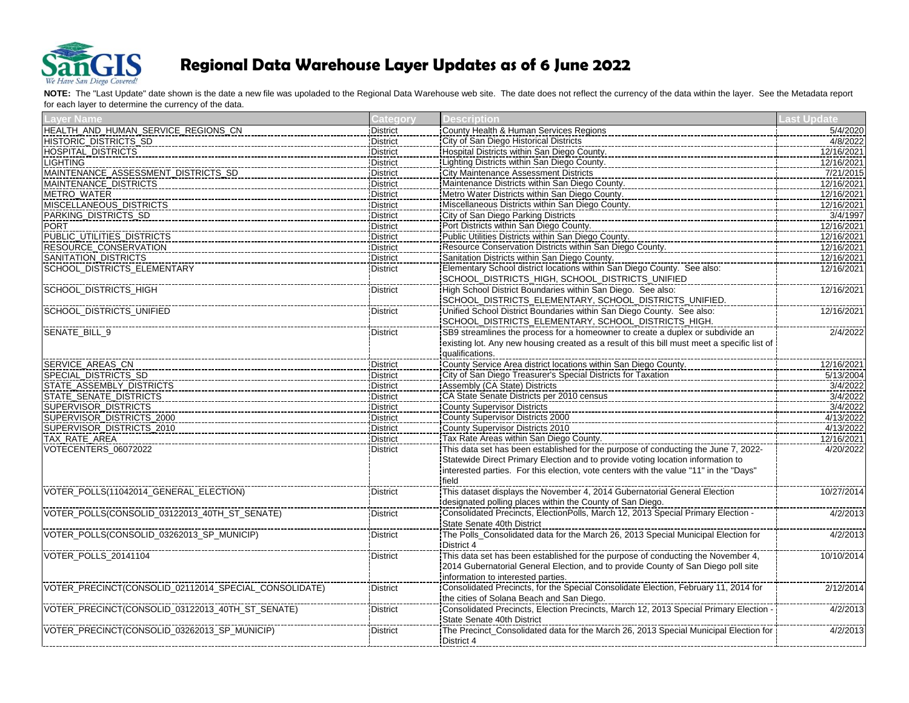

| <b>Laver Name</b>                                     | <b>Category</b> | Description                                                                                                                      | ast Update |
|-------------------------------------------------------|-----------------|----------------------------------------------------------------------------------------------------------------------------------|------------|
| HEALTH_AND_HUMAN_SERVICE_REGIONS_CN                   | <b>District</b> | County Health & Human Services Regions                                                                                           | 5/4/2020   |
| HISTORIC_DISTRICTS_SD                                 | <b>District</b> | City of San Diego Historical Districts                                                                                           | 4/8/2022   |
| <b>HOSPITAL_DISTRICTS</b>                             | <b>District</b> | Hospital Districts within San Diego County.                                                                                      | 12/16/2021 |
| <b>LIGHTING</b>                                       | <b>District</b> | Lighting Districts within San Diego County.                                                                                      | 12/16/2021 |
| MAINTENANCE_ASSESSMENT_DISTRICTS_SD                   | <b>District</b> | City Maintenance Assessment Districts                                                                                            | 7/21/2015  |
| MAINTENANCE_DISTRICTS                                 | <b>District</b> | Maintenance Districts within San Diego County.                                                                                   | 12/16/2021 |
| METRO_WATER                                           | <b>District</b> | Metro Water Districts within San Diego County.                                                                                   | 12/16/2021 |
| MISCELLANEOUS_DISTRICTS                               | <b>District</b> | Miscellaneous Districts within San Diego County.                                                                                 | 12/16/2021 |
| PARKING_DISTRICTS_SD                                  | <b>District</b> | City of San Diego Parking Districts                                                                                              | 3/4/1997   |
| <b>PORT</b>                                           | <b>District</b> | Port Districts within San Diego County.                                                                                          | 12/16/2021 |
| PUBLIC UTILITIES DISTRICTS                            | <b>District</b> | Public Utilities Districts within San Diego County.                                                                              | 12/16/2021 |
| RESOURCE_CONSERVATION                                 | District        | Resource Conservation Districts within San Diego County.                                                                         | 12/16/2021 |
| SANITATION_DISTRICTS                                  | <b>District</b> | Sanitation Districts within San Diego County.                                                                                    | 12/16/2021 |
| SCHOOL_DISTRICTS_ELEMENTARY                           | <b>District</b> | Elementary School district locations within San Diego County. See also:                                                          | 12/16/2021 |
|                                                       |                 | SCHOOL_DISTRICTS_HIGH, SCHOOL_DISTRICTS_UNIFIED                                                                                  |            |
| <b>SCHOOL DISTRICTS HIGH</b>                          | <b>District</b> | High School District Boundaries within San Diego. See also:                                                                      | 12/16/2021 |
|                                                       |                 | SCHOOL_DISTRICTS_ELEMENTARY, SCHOOL_DISTRICTS_UNIFIED.                                                                           |            |
| SCHOOL_DISTRICTS_UNIFIED                              | <b>District</b> | Unified School District Boundaries within San Diego County. See also:                                                            | 12/16/2021 |
|                                                       |                 | SCHOOL_DISTRICTS_ELEMENTARY, SCHOOL_DISTRICTS_HIGH.                                                                              |            |
| SENATE_BILL_9                                         | <b>District</b> | SB9 streamlines the process for a homeowner to create a duplex or subdivide an                                                   | 2/4/2022   |
|                                                       |                 | existing lot. Any new housing created as a result of this bill must meet a specific list of                                      |            |
|                                                       |                 | qualifications.                                                                                                                  |            |
| SERVICE_AREAS_CN                                      | <b>District</b> | County Service Area district locations within San Diego County.                                                                  | 12/16/2021 |
| SPECIAL_DISTRICTS_SD                                  | <b>District</b> | City of San Diego Treasurer's Special Districts for Taxation                                                                     | 5/13/2004  |
| STATE_ASSEMBLY_DISTRICTS                              | District        | Assembly (CA State) Districts                                                                                                    | 3/4/2022   |
| STATE_SENATE_DISTRICTS                                | <b>District</b> | CA State Senate Districts per 2010 census                                                                                        | 3/4/2022   |
| <b>SUPERVISOR DISTRICTS</b>                           | District        | <b>County Supervisor Districts</b>                                                                                               | 3/4/2022   |
| SUPERVISOR_DISTRICTS_2000                             | <b>District</b> | County Supervisor Districts 2000                                                                                                 | 4/13/2022  |
| SUPERVISOR_DISTRICTS_2010                             | <b>District</b> | <b>County Supervisor Districts 2010</b>                                                                                          | 4/13/2022  |
| TAX_RATE_AREA                                         | District        | Tax Rate Areas within San Diego County.                                                                                          | 12/16/2021 |
| VOTECENTERS_06072022                                  | <b>District</b> | This data set has been established for the purpose of conducting the June 7, 2022-                                               | 4/20/2022  |
|                                                       |                 | Statewide Direct Primary Election and to provide voting location information to                                                  |            |
|                                                       |                 | interested parties. For this election, vote centers with the value "11" in the "Days"                                            |            |
|                                                       |                 | field                                                                                                                            |            |
| VOTER_POLLS(11042014_GENERAL_ELECTION)                | <b>District</b> | This dataset displays the November 4, 2014 Gubernatorial General Election                                                        | 10/27/2014 |
|                                                       |                 | designated polling places within the County of San Diego.                                                                        |            |
| VOTER_POLLS(CONSOLID_03122013_40TH_ST_SENATE)         | <b>District</b> | Consolidated Precincts, ElectionPolls, March 12, 2013 Special Primary Election -                                                 | 4/2/2013   |
|                                                       |                 | State Senate 40th District                                                                                                       |            |
| VOTER_POLLS(CONSOLID_03262013_SP_MUNICIP)             | <b>District</b> | The Polls_Consolidated data for the March 26, 2013 Special Municipal Election for                                                | 4/2/2013   |
|                                                       |                 | District 4                                                                                                                       |            |
| VOTER_POLLS_20141104                                  | <b>District</b> | This data set has been established for the purpose of conducting the November 4,                                                 | 10/10/2014 |
|                                                       |                 | 2014 Gubernatorial General Election, and to provide County of San Diego poll site                                                |            |
|                                                       |                 | information to interested parties.                                                                                               |            |
| VOTER_PRECINCT(CONSOLID_02112014_SPECIAL_CONSOLIDATE) | <b>District</b> | <u>Information to interested parties.</u><br>Consolidated Precincts, for the Special Consolidate Election, February 11, 2014 for | 2/12/2014  |
|                                                       |                 | the cities of Solana Beach and San Diego.                                                                                        |            |
| VOTER_PRECINCT(CONSOLID_03122013_40TH_ST_SENATE)      | <b>District</b> | Consolidated Precincts, Election Precincts, March 12, 2013 Special Primary Election                                              | 4/2/2013   |
|                                                       |                 | State Senate 40th District                                                                                                       |            |
| VOTER_PRECINCT(CONSOLID_03262013_SP_MUNICIP)          | <b>District</b> |                                                                                                                                  | 4/2/2013   |
|                                                       |                 | District 4                                                                                                                       |            |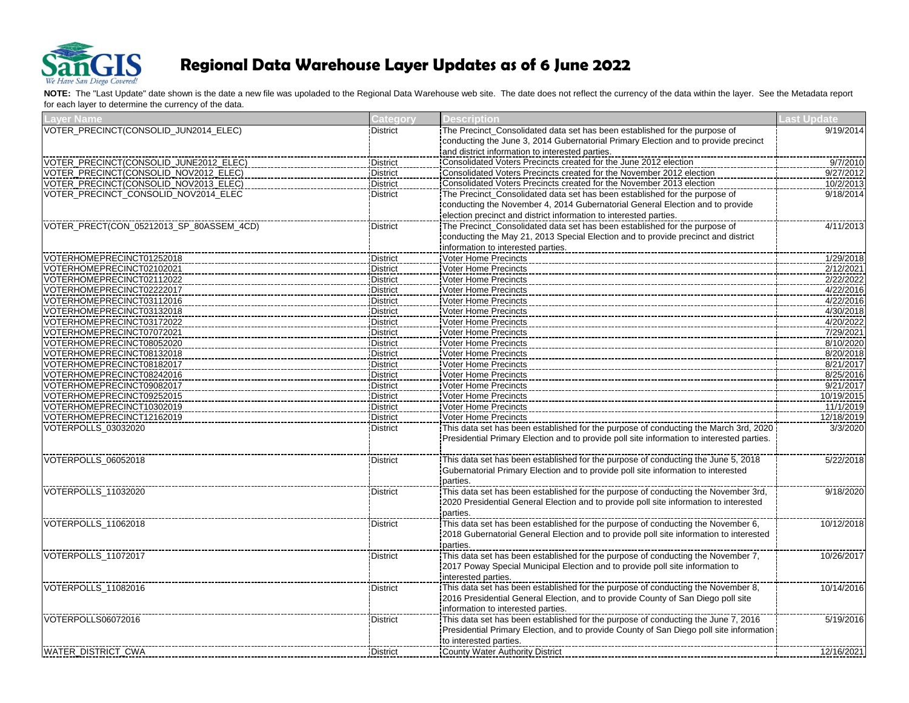

| <b>Laver Name</b>                                      | Category                           | <b>Description</b>                                                                        | <b>Last Update</b>     |
|--------------------------------------------------------|------------------------------------|-------------------------------------------------------------------------------------------|------------------------|
| VOTER_PRECINCT(CONSOLID_JUN2014_ELEC)                  | <b>District</b>                    | The Precinct_Consolidated data set has been established for the purpose of                | 9/19/2014              |
|                                                        |                                    | conducting the June 3, 2014 Gubernatorial Primary Election and to provide precinct        |                        |
|                                                        |                                    | and district information to interested parties.                                           |                        |
| VOTER_PRECINCT(CONSOLID_JUNE2012_ELEC)                 | <b>District</b>                    | Consolidated Voters Precincts created for the June 2012 election                          | 9/7/2010               |
| VOTER_PRECINCT(CONSOLID_NOV2012_ELEC)                  | <b>District</b>                    | Consolidated Voters Precincts created for the November 2012 election                      | 9/27/2012              |
| VOTER_PRECINCT(CONSOLID_NOV2013_ELEC)                  | <b>District</b>                    |                                                                                           | 10/2/2013              |
| VOTER_PRECINCT_CONSOLID_NOV2014_ELEC                   | <b>District</b>                    | The Precinct_Consolidated data set has been established for the purpose of                | 9/18/2014              |
|                                                        |                                    | conducting the November 4, 2014 Gubernatorial General Election and to provide             |                        |
|                                                        |                                    | election precinct and district information to interested parties.                         |                        |
| VOTER_PRECT(CON_05212013_SP_80ASSEM_4CD)               | <b>District</b>                    | The Precinct Consolidated data set has been established for the purpose of                | 4/11/2013              |
|                                                        |                                    | conducting the May 21, 2013 Special Election and to provide precinct and district         |                        |
|                                                        |                                    | information to interested parties.                                                        |                        |
| VOTERHOMEPRECINCT01252018                              | <b>District</b>                    | Voter Home Precincts                                                                      | 1/29/2018              |
| VOTERHOMEPRECINCT02102021                              | <b>District</b>                    | Voter Home Precincts                                                                      | 2/12/2021              |
| VOTERHOMEPRECINCT02112022                              | <b>District</b>                    | Voter Home Precincts                                                                      | 2/22/2022              |
| VOTERHOMEPRECINCT02222017                              | <b>District</b>                    | Voter Home Precincts                                                                      | 4/22/2016              |
| VOTERHOMEPRECINCT03112016                              | <b>District</b>                    | Voter Home Precincts                                                                      | 4/22/2016              |
| VOTERHOMEPRECINCT03132018                              | <b>District</b>                    | Voter Home Precincts                                                                      | 4/30/2018              |
| VOTERHOMEPRECINCT03172022                              | <b>District</b>                    | <b>Voter Home Precincts</b>                                                               | 4/20/2022              |
| VOTERHOMEPRECINCT07072021                              | <b>District</b>                    | Voter Home Precincts<br><b>Voter Home Precincts</b>                                       | 7/29/2021              |
| VOTERHOMEPRECINCT08052020<br>VOTERHOMEPRECINCT08132018 | <b>District</b>                    |                                                                                           | 8/10/2020              |
| VOTERHOMEPRECINCT08182017                              | <b>District</b><br><b>District</b> | Voter Home Precincts<br>Voter Home Precincts                                              | 8/20/2018<br>8/21/2017 |
| VOTERHOMEPRECINCT08242016                              |                                    | Voter Home Precincts                                                                      |                        |
| VOTERHOMEPRECINCT09082017                              | <b>District</b><br><b>District</b> | <b>Voter Home Precincts</b>                                                               | 8/25/2016<br>9/21/2017 |
| VOTERHOMEPRECINCT09252015                              | District                           | Voter Home Precincts                                                                      | 10/19/2015             |
| VOTERHOMEPRECINCT10302019                              | <b>District</b>                    | Voter Home Precincts                                                                      | 11/1/2019              |
| VOTERHOMEPRECINCT12162019                              | <b>District</b>                    | Voter Home Precincts                                                                      | 12/18/2019             |
| VOTERPOLLS 03032020                                    | <b>District</b>                    | This data set has been established for the purpose of conducting the March 3rd, 2020      | 3/3/2020               |
|                                                        |                                    | Presidential Primary Election and to provide poll site information to interested parties. |                        |
|                                                        |                                    |                                                                                           |                        |
| VOTERPOLLS_06052018                                    | <b>District</b>                    | This data set has been established for the purpose of conducting the June 5, 2018         | 5/22/2018              |
|                                                        |                                    | Gubernatorial Primary Election and to provide poll site information to interested         |                        |
|                                                        |                                    | parties.                                                                                  |                        |
| VOTERPOLLS 11032020                                    | <b>District</b>                    | This data set has been established for the purpose of conducting the November 3rd,        | 9/18/2020              |
|                                                        |                                    | 2020 Presidential General Election and to provide poll site information to interested     |                        |
|                                                        |                                    | parties.                                                                                  |                        |
| VOTERPOLLS_11062018                                    | <b>District</b>                    | This data set has been established for the purpose of conducting the November 6,          | 10/12/2018             |
|                                                        |                                    | 2018 Gubernatorial General Election and to provide poll site information to interested    |                        |
|                                                        |                                    | parties.                                                                                  |                        |
| VOTERPOLLS 11072017                                    | <b>District</b>                    | This data set has been established for the purpose of conducting the November 7,          | 10/26/2017             |
|                                                        |                                    | 2017 Poway Special Municipal Election and to provide poll site information to             |                        |
|                                                        |                                    | interested parties.                                                                       |                        |
| VOTERPOLLS 11082016                                    | <b>District</b>                    | This data set has been established for the purpose of conducting the November 8,          | 10/14/2016             |
|                                                        |                                    | 2016 Presidential General Election, and to provide County of San Diego poll site          |                        |
|                                                        |                                    | information to interested parties.                                                        |                        |
| VOTERPOLLS06072016                                     | <b>District</b>                    | This data set has been established for the purpose of conducting the June 7, 2016         | 5/19/2016              |
|                                                        |                                    | Presidential Primary Election, and to provide County of San Diego poll site information   |                        |
|                                                        |                                    | to interested parties.                                                                    |                        |
| WATER_DISTRICT_CWA                                     | <b>District</b>                    | County Water Authority District                                                           | 12/16/2021             |
|                                                        |                                    |                                                                                           |                        |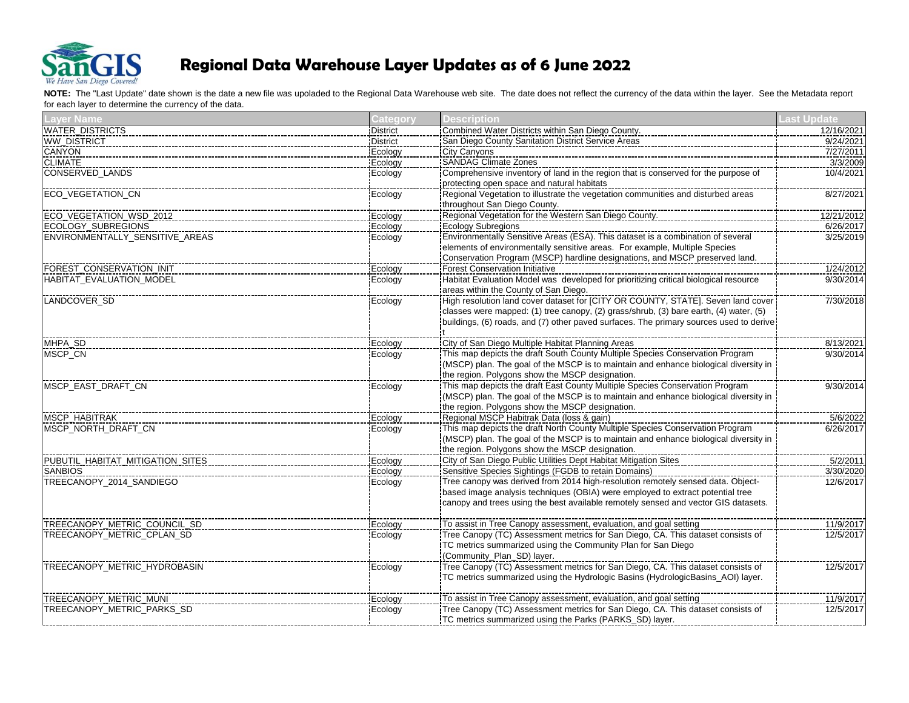

| Laver Name                       | Categorv        | <b>Description</b>                                                                                                                                                                                 | ast Undate |
|----------------------------------|-----------------|----------------------------------------------------------------------------------------------------------------------------------------------------------------------------------------------------|------------|
| <b>WATER DISTRICTS</b>           | <b>District</b> | Combined Water Districts within San Diego County.                                                                                                                                                  | 12/16/2021 |
| WW_DISTRICT                      | <b>District</b> | San Diego County Sanitation District Service Areas                                                                                                                                                 | 9/24/2021  |
| CANYON                           | Ecology         | City Canyons                                                                                                                                                                                       | 7/27/2011  |
| <b>CLIMATE</b>                   | Ecology         | <b>SANDAG Climate Zones</b>                                                                                                                                                                        | 3/3/2009   |
| <b>CONSERVED LANDS</b>           | Ecology         | Comprehensive inventory of land in the region that is conserved for the purpose of                                                                                                                 | 10/4/2021  |
|                                  |                 | protecting open space and natural habitats                                                                                                                                                         |            |
| <b>ECO VEGETATION CN</b>         | Ecology         | ntial Contract Contract Contract Contract Contract Contract Contract Contract Contract Contract Contract Contr<br>Regional Vegetation to illustrate the vegetation communities and disturbed areas | 8/27/2021  |
|                                  |                 | throughout San Diego County.                                                                                                                                                                       |            |
| ECO_VEGETATION_WSD_2012          | Ecology         | Regional Vegetation for the Western San Diego County.                                                                                                                                              | 12/21/2012 |
| <b>ECOLOGY SUBREGIONS</b>        | Ecology         | Ecology Subregions                                                                                                                                                                                 | 6/26/2017  |
| ENVIRONMENTALLY SENSITIVE AREAS  | Ecology         | Environmentally Sensitive Areas (ESA). This dataset is a combination of several                                                                                                                    | 3/25/2019  |
|                                  |                 | elements of environmentally sensitive areas. For example, Multiple Species                                                                                                                         |            |
|                                  |                 | Conservation Program (MSCP) hardline designations, and MSCP preserved land.                                                                                                                        |            |
| FOREST_CONSERVATION_INIT         | Ecology         | <b>Forest Conservation Initiative</b>                                                                                                                                                              | 1/24/2012  |
| <b>HABITAT EVALUATION MODEL</b>  | Ecology         | Habitat Evaluation Model was developed for prioritizing critical biological resource                                                                                                               | 9/30/2014  |
|                                  |                 | areas within the County of San Diego.                                                                                                                                                              |            |
| LANDCOVER_SD                     | Ecology         |                                                                                                                                                                                                    | 7/30/2018  |
|                                  |                 | classes were mapped: (1) tree canopy, (2) grass/shrub, (3) bare earth, (4) water, (5)                                                                                                              |            |
|                                  |                 | buildings, (6) roads, and (7) other paved surfaces. The primary sources used to derive:                                                                                                            |            |
|                                  |                 |                                                                                                                                                                                                    |            |
| MHPA_SD                          | Ecology         | City of San Diego Multiple Habitat Planning Areas                                                                                                                                                  | 8/13/2021  |
| MSCP_CN                          | Ecology         | This map depicts the draft South County Multiple Species Conservation Program                                                                                                                      | 9/30/2014  |
|                                  |                 | (MSCP) plan. The goal of the MSCP is to maintain and enhance biological diversity in                                                                                                               |            |
|                                  |                 | the region. Polygons show the MSCP designation.                                                                                                                                                    |            |
| MSCP EAST DRAFT CN               | Ecology         |                                                                                                                                                                                                    | 9/30/2014  |
|                                  |                 | (MSCP) plan. The goal of the MSCP is to maintain and enhance biological diversity in                                                                                                               |            |
|                                  |                 | the region. Polygons show the MSCP designation.                                                                                                                                                    |            |
| MSCP_HABITRAK                    | Ecology         | Regional MSCP Habitrak Data (loss & gain)                                                                                                                                                          | 5/6/2022   |
| MSCP_NORTH_DRAFT_CN              | Ecology         | This map depicts the draft North County Multiple Species Conservation Program                                                                                                                      | 6/26/2017  |
|                                  |                 | (MSCP) plan. The goal of the MSCP is to maintain and enhance biological diversity in                                                                                                               |            |
|                                  |                 | the region. Polygons show the MSCP designation.                                                                                                                                                    |            |
| PUBUTIL_HABITAT_MITIGATION_SITES | Ecology         | City of San Diego Public Utilities Dept Habitat Mitigation Sites                                                                                                                                   | 5/2/2011   |
| <b>SANBIOS</b>                   | Ecology         | Sensitive Species Sightings (FGDB to retain Domains)                                                                                                                                               | 3/30/2020  |
| TREECANOPY 2014 SANDIEGO         | Ecology         | Tree canopy was derived from 2014 high-resolution remotely sensed data. Object-                                                                                                                    | 12/6/2017  |
|                                  |                 | based image analysis techniques (OBIA) were employed to extract potential tree                                                                                                                     |            |
|                                  |                 | canopy and trees using the best available remotely sensed and vector GIS datasets.                                                                                                                 |            |
|                                  |                 |                                                                                                                                                                                                    |            |
| TREECANOPY_METRIC_COUNCIL_SD     | Ecology         | To assist in Tree Canopy assessment, evaluation, and goal setting                                                                                                                                  | 11/9/2017  |
| TREECANOPY_METRIC_CPLAN_SD       | Ecology         | Tree Canopy (TC) Assessment metrics for San Diego, CA. This dataset consists of                                                                                                                    | 12/5/2017  |
|                                  |                 | TC metrics summarized using the Community Plan for San Diego                                                                                                                                       |            |
|                                  |                 | (Community_Plan_SD) layer.                                                                                                                                                                         |            |
| TREECANOPY METRIC HYDROBASIN     | Ecology         | Tree Canopy (TC) Assessment metrics for San Diego, CA. This dataset consists of                                                                                                                    | 12/5/2017  |
|                                  |                 | TC metrics summarized using the Hydrologic Basins (HydrologicBasins_AOI) layer.                                                                                                                    |            |
|                                  |                 |                                                                                                                                                                                                    |            |
| TREECANOPY METRIC MUNI           | Ecology         | To assist in Tree Canopy assessment, evaluation, and goal setting                                                                                                                                  | 11/9/2017  |
| TREECANOPY_METRIC_PARKS_SD       | Ecology         | Tree Canopy (TC) Assessment metrics for San Diego, CA. This dataset consists of                                                                                                                    | 12/5/2017  |
|                                  |                 | TC metrics summarized using the Parks (PARKS_SD) layer.                                                                                                                                            |            |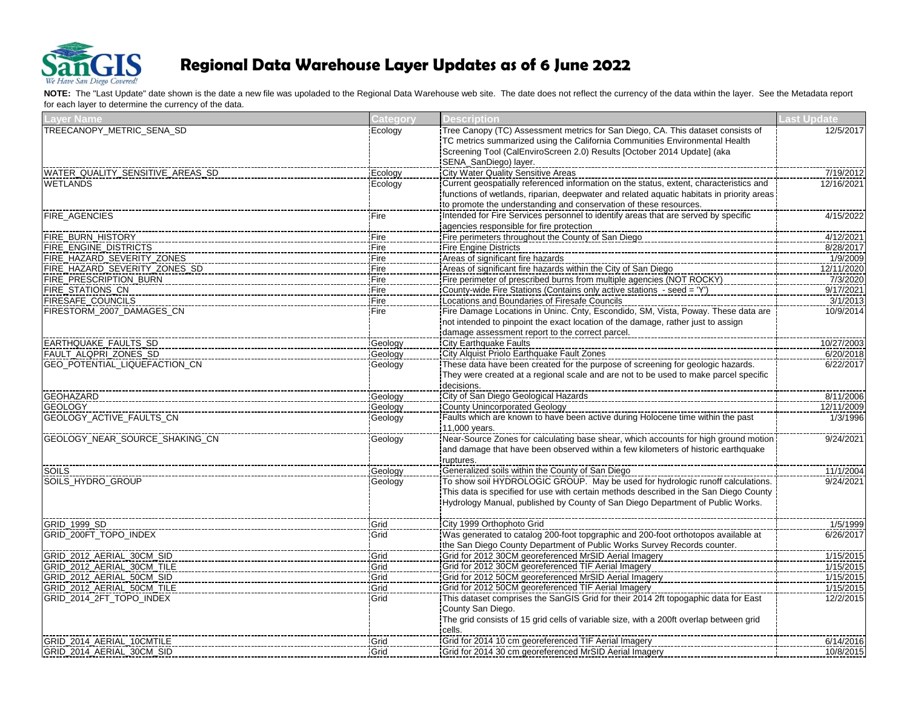

| TREECANOPY METRIC SENA SD<br>12/5/2017<br>Ecology<br>TC metrics summarized using the California Communities Environmental Health<br>Screening Tool (CalEnviroScreen 2.0) Results [October 2014 Update] (aka<br>SENA_SanDiego) layer.<br>City Water Quality Sensitive Areas<br>WATER_QUALITY_SENSITIVE_AREAS_SD<br>Ecology<br>7/19/2012<br>Current geospatially referenced information on the status, extent, characteristics and<br><b>WETLANDS</b><br>Ecology<br>12/16/2021<br>functions of wetlands, riparian, deepwater and related aquatic habitats in priority areas<br>to promote the understanding and conservation of these resources.<br><b>FIRE AGENCIES</b><br>Intended for Fire Services personnel to identify areas that are served by specific<br>4/15/2022<br>Fire<br>agencies responsible for fire protection<br>Fire perimeters throughout the County of San Diego<br>4/12/2021<br>FIRE_BURN_HISTORY<br>Fire<br>FIRE_ENGINE_DISTRICTS<br>Fire Engine Districts<br>8/28/2017<br>Fire<br>FIRE_HAZARD_SEVERITY_ZONES<br>Areas of significant fire hazards<br>Fire<br>1/9/2009<br>FIRE_HAZARD_SEVERITY_ZONES_SD<br>Areas of significant fire hazards within the City of San Diego<br>12/11/2020<br>Fire<br>Fire perimeter of prescribed burns from multiple agencies (NOT ROCKY)<br>FIRE_PRESCRIPTION_BURN<br>Fire<br>7/3/2020<br>FIRE_STATIONS_CN<br>County-wide Fire Stations (Contains only active stations - seed = 'Y')<br>9/17/2021<br>Fire<br>FIRESAFE_COUNCILS<br>Locations and Boundaries of Firesafe Councils<br>Fire<br>3/1/2013<br>FIRESTORM_2007_DAMAGES_CN<br>Fire<br>10/9/2014<br>not intended to pinpoint the exact location of the damage, rather just to assign<br>damage assessment report to the correct parcel.<br>EARTHQUAKE FAULTS SD<br><b>City Earthquake Faults</b><br>10/27/2003<br>Geology<br>City Alquist Priolo Earthquake Fault Zones<br>FAULT_ALQPRI_ZONES_SD<br>Geology<br>6/20/2018<br>GEO_POTENTIAL_LIQUEFACTION_CN<br>Geology<br>6/22/2017<br>They were created at a regional scale and are not to be used to make parcel specific<br>decisions.<br><b>GEOHAZARD</b><br>Geology<br>8/11/2006<br><b>GEOLOGY</b><br>County Unincorporated Geology<br>12/11/2009<br>Geology<br>The matrice of the term is the term in the term in the term in the term is the control of Faults which are known to have been active during Holocene time within the past<br>GEOLOGY_ACTIVE_FAULTS_CN<br>1/3/1996<br>Geology<br>11,000 years.<br>GEOLOGY_NEAR_SOURCE_SHAKING_CN<br>9/24/2021<br>Geology<br>and damage that have been observed within a few kilometers of historic earthquake<br>ruptures.<br>Generalized soils within the County of San Diego<br><b>SOILS</b><br>Geology<br>11/1/2004<br>SOILS_HYDRO_GROUP<br>9/24/2021<br>Geology<br>This data is specified for use with certain methods described in the San Diego County<br>Hydrology Manual, published by County of San Diego Department of Public Works.<br>City 1999 Orthophoto Grid<br>GRID_1999_SD<br>1/5/1999<br>Grid<br>GRID_200FT_TOPO_INDEX<br>Grid<br>6/26/2017<br>the San Diego County Department of Public Works Survey Records counter.<br>GRID_2012_AERIAL_30CM_SID<br>Grid for 2012 30CM georeferenced MrSID Aerial Imagery<br>1/15/2015<br>Grid<br>GRID 2012 AERIAL 30CM TILE<br>Grid for 2012 30CM georeferenced TIF Aerial Imagery<br>Grid<br>1/15/2015<br>Grid for 2012 50CM georeferenced MrSID Aerial Imagery<br>GRID_2012_AERIAL_50CM_SID<br>Grid<br>1/15/2015<br>GRID_2012_AERIAL_50CM_TILE<br>Grid for 2012 50CM georeferenced TIF Aerial Imagery<br>1/15/2015<br>Grid<br>This dataset comprises the SanGIS Grid for their 2014 2ft topogaphic data for East<br>GRID_2014_2FT_TOPO_INDEX<br>Grid<br>12/2/2015<br>County San Diego.<br>The grid consists of 15 grid cells of variable size, with a 200ft overlap between grid<br>cells.<br>GRID_2014_AERIAL_10CMTILE<br>Grid for 2014 10 cm georeferenced TIF Aerial Imagery<br>6/14/2016<br>Grid | Laver Name                | <b>Category</b> | Description                                                                     | <b>Last Update</b> |
|--------------------------------------------------------------------------------------------------------------------------------------------------------------------------------------------------------------------------------------------------------------------------------------------------------------------------------------------------------------------------------------------------------------------------------------------------------------------------------------------------------------------------------------------------------------------------------------------------------------------------------------------------------------------------------------------------------------------------------------------------------------------------------------------------------------------------------------------------------------------------------------------------------------------------------------------------------------------------------------------------------------------------------------------------------------------------------------------------------------------------------------------------------------------------------------------------------------------------------------------------------------------------------------------------------------------------------------------------------------------------------------------------------------------------------------------------------------------------------------------------------------------------------------------------------------------------------------------------------------------------------------------------------------------------------------------------------------------------------------------------------------------------------------------------------------------------------------------------------------------------------------------------------------------------------------------------------------------------------------------------------------------------------------------------------------------------------------------------------------------------------------------------------------------------------------------------------------------------------------------------------------------------------------------------------------------------------------------------------------------------------------------------------------------------------------------------------------------------------------------------------------------------------------------------------------------------------------------------------------------------------------------------------------------------------------------------------------------------------------------------------------------------------------------------------------------------------------------------------------------------------------------------------------------------------------------------------------------------------------------------------------------------------------------------------------------------------------------------------------------------------------------------------------------------------------------------------------------------------------------------------------------------------------------------------------------------------------------------------------------------------------------------------------------------------------------------------------------------------------------------------------------------------------------------------------------------------------------------------------------------------------------------------------------------------------------------------------------------------------------------------------------------------------------------------------------------------------------------------------------------------------------------------------------------------------------------------------------------|---------------------------|-----------------|---------------------------------------------------------------------------------|--------------------|
|                                                                                                                                                                                                                                                                                                                                                                                                                                                                                                                                                                                                                                                                                                                                                                                                                                                                                                                                                                                                                                                                                                                                                                                                                                                                                                                                                                                                                                                                                                                                                                                                                                                                                                                                                                                                                                                                                                                                                                                                                                                                                                                                                                                                                                                                                                                                                                                                                                                                                                                                                                                                                                                                                                                                                                                                                                                                                                                                                                                                                                                                                                                                                                                                                                                                                                                                                                                                                                                                                                                                                                                                                                                                                                                                                                                                                                                                                                                                                                          |                           |                 | Tree Canopy (TC) Assessment metrics for San Diego, CA. This dataset consists of |                    |
|                                                                                                                                                                                                                                                                                                                                                                                                                                                                                                                                                                                                                                                                                                                                                                                                                                                                                                                                                                                                                                                                                                                                                                                                                                                                                                                                                                                                                                                                                                                                                                                                                                                                                                                                                                                                                                                                                                                                                                                                                                                                                                                                                                                                                                                                                                                                                                                                                                                                                                                                                                                                                                                                                                                                                                                                                                                                                                                                                                                                                                                                                                                                                                                                                                                                                                                                                                                                                                                                                                                                                                                                                                                                                                                                                                                                                                                                                                                                                                          |                           |                 |                                                                                 |                    |
|                                                                                                                                                                                                                                                                                                                                                                                                                                                                                                                                                                                                                                                                                                                                                                                                                                                                                                                                                                                                                                                                                                                                                                                                                                                                                                                                                                                                                                                                                                                                                                                                                                                                                                                                                                                                                                                                                                                                                                                                                                                                                                                                                                                                                                                                                                                                                                                                                                                                                                                                                                                                                                                                                                                                                                                                                                                                                                                                                                                                                                                                                                                                                                                                                                                                                                                                                                                                                                                                                                                                                                                                                                                                                                                                                                                                                                                                                                                                                                          |                           |                 |                                                                                 |                    |
|                                                                                                                                                                                                                                                                                                                                                                                                                                                                                                                                                                                                                                                                                                                                                                                                                                                                                                                                                                                                                                                                                                                                                                                                                                                                                                                                                                                                                                                                                                                                                                                                                                                                                                                                                                                                                                                                                                                                                                                                                                                                                                                                                                                                                                                                                                                                                                                                                                                                                                                                                                                                                                                                                                                                                                                                                                                                                                                                                                                                                                                                                                                                                                                                                                                                                                                                                                                                                                                                                                                                                                                                                                                                                                                                                                                                                                                                                                                                                                          |                           |                 |                                                                                 |                    |
|                                                                                                                                                                                                                                                                                                                                                                                                                                                                                                                                                                                                                                                                                                                                                                                                                                                                                                                                                                                                                                                                                                                                                                                                                                                                                                                                                                                                                                                                                                                                                                                                                                                                                                                                                                                                                                                                                                                                                                                                                                                                                                                                                                                                                                                                                                                                                                                                                                                                                                                                                                                                                                                                                                                                                                                                                                                                                                                                                                                                                                                                                                                                                                                                                                                                                                                                                                                                                                                                                                                                                                                                                                                                                                                                                                                                                                                                                                                                                                          |                           |                 |                                                                                 |                    |
|                                                                                                                                                                                                                                                                                                                                                                                                                                                                                                                                                                                                                                                                                                                                                                                                                                                                                                                                                                                                                                                                                                                                                                                                                                                                                                                                                                                                                                                                                                                                                                                                                                                                                                                                                                                                                                                                                                                                                                                                                                                                                                                                                                                                                                                                                                                                                                                                                                                                                                                                                                                                                                                                                                                                                                                                                                                                                                                                                                                                                                                                                                                                                                                                                                                                                                                                                                                                                                                                                                                                                                                                                                                                                                                                                                                                                                                                                                                                                                          |                           |                 |                                                                                 |                    |
|                                                                                                                                                                                                                                                                                                                                                                                                                                                                                                                                                                                                                                                                                                                                                                                                                                                                                                                                                                                                                                                                                                                                                                                                                                                                                                                                                                                                                                                                                                                                                                                                                                                                                                                                                                                                                                                                                                                                                                                                                                                                                                                                                                                                                                                                                                                                                                                                                                                                                                                                                                                                                                                                                                                                                                                                                                                                                                                                                                                                                                                                                                                                                                                                                                                                                                                                                                                                                                                                                                                                                                                                                                                                                                                                                                                                                                                                                                                                                                          |                           |                 |                                                                                 |                    |
|                                                                                                                                                                                                                                                                                                                                                                                                                                                                                                                                                                                                                                                                                                                                                                                                                                                                                                                                                                                                                                                                                                                                                                                                                                                                                                                                                                                                                                                                                                                                                                                                                                                                                                                                                                                                                                                                                                                                                                                                                                                                                                                                                                                                                                                                                                                                                                                                                                                                                                                                                                                                                                                                                                                                                                                                                                                                                                                                                                                                                                                                                                                                                                                                                                                                                                                                                                                                                                                                                                                                                                                                                                                                                                                                                                                                                                                                                                                                                                          |                           |                 |                                                                                 |                    |
|                                                                                                                                                                                                                                                                                                                                                                                                                                                                                                                                                                                                                                                                                                                                                                                                                                                                                                                                                                                                                                                                                                                                                                                                                                                                                                                                                                                                                                                                                                                                                                                                                                                                                                                                                                                                                                                                                                                                                                                                                                                                                                                                                                                                                                                                                                                                                                                                                                                                                                                                                                                                                                                                                                                                                                                                                                                                                                                                                                                                                                                                                                                                                                                                                                                                                                                                                                                                                                                                                                                                                                                                                                                                                                                                                                                                                                                                                                                                                                          |                           |                 |                                                                                 |                    |
|                                                                                                                                                                                                                                                                                                                                                                                                                                                                                                                                                                                                                                                                                                                                                                                                                                                                                                                                                                                                                                                                                                                                                                                                                                                                                                                                                                                                                                                                                                                                                                                                                                                                                                                                                                                                                                                                                                                                                                                                                                                                                                                                                                                                                                                                                                                                                                                                                                                                                                                                                                                                                                                                                                                                                                                                                                                                                                                                                                                                                                                                                                                                                                                                                                                                                                                                                                                                                                                                                                                                                                                                                                                                                                                                                                                                                                                                                                                                                                          |                           |                 |                                                                                 |                    |
|                                                                                                                                                                                                                                                                                                                                                                                                                                                                                                                                                                                                                                                                                                                                                                                                                                                                                                                                                                                                                                                                                                                                                                                                                                                                                                                                                                                                                                                                                                                                                                                                                                                                                                                                                                                                                                                                                                                                                                                                                                                                                                                                                                                                                                                                                                                                                                                                                                                                                                                                                                                                                                                                                                                                                                                                                                                                                                                                                                                                                                                                                                                                                                                                                                                                                                                                                                                                                                                                                                                                                                                                                                                                                                                                                                                                                                                                                                                                                                          |                           |                 |                                                                                 |                    |
|                                                                                                                                                                                                                                                                                                                                                                                                                                                                                                                                                                                                                                                                                                                                                                                                                                                                                                                                                                                                                                                                                                                                                                                                                                                                                                                                                                                                                                                                                                                                                                                                                                                                                                                                                                                                                                                                                                                                                                                                                                                                                                                                                                                                                                                                                                                                                                                                                                                                                                                                                                                                                                                                                                                                                                                                                                                                                                                                                                                                                                                                                                                                                                                                                                                                                                                                                                                                                                                                                                                                                                                                                                                                                                                                                                                                                                                                                                                                                                          |                           |                 |                                                                                 |                    |
|                                                                                                                                                                                                                                                                                                                                                                                                                                                                                                                                                                                                                                                                                                                                                                                                                                                                                                                                                                                                                                                                                                                                                                                                                                                                                                                                                                                                                                                                                                                                                                                                                                                                                                                                                                                                                                                                                                                                                                                                                                                                                                                                                                                                                                                                                                                                                                                                                                                                                                                                                                                                                                                                                                                                                                                                                                                                                                                                                                                                                                                                                                                                                                                                                                                                                                                                                                                                                                                                                                                                                                                                                                                                                                                                                                                                                                                                                                                                                                          |                           |                 |                                                                                 |                    |
|                                                                                                                                                                                                                                                                                                                                                                                                                                                                                                                                                                                                                                                                                                                                                                                                                                                                                                                                                                                                                                                                                                                                                                                                                                                                                                                                                                                                                                                                                                                                                                                                                                                                                                                                                                                                                                                                                                                                                                                                                                                                                                                                                                                                                                                                                                                                                                                                                                                                                                                                                                                                                                                                                                                                                                                                                                                                                                                                                                                                                                                                                                                                                                                                                                                                                                                                                                                                                                                                                                                                                                                                                                                                                                                                                                                                                                                                                                                                                                          |                           |                 |                                                                                 |                    |
|                                                                                                                                                                                                                                                                                                                                                                                                                                                                                                                                                                                                                                                                                                                                                                                                                                                                                                                                                                                                                                                                                                                                                                                                                                                                                                                                                                                                                                                                                                                                                                                                                                                                                                                                                                                                                                                                                                                                                                                                                                                                                                                                                                                                                                                                                                                                                                                                                                                                                                                                                                                                                                                                                                                                                                                                                                                                                                                                                                                                                                                                                                                                                                                                                                                                                                                                                                                                                                                                                                                                                                                                                                                                                                                                                                                                                                                                                                                                                                          |                           |                 |                                                                                 |                    |
|                                                                                                                                                                                                                                                                                                                                                                                                                                                                                                                                                                                                                                                                                                                                                                                                                                                                                                                                                                                                                                                                                                                                                                                                                                                                                                                                                                                                                                                                                                                                                                                                                                                                                                                                                                                                                                                                                                                                                                                                                                                                                                                                                                                                                                                                                                                                                                                                                                                                                                                                                                                                                                                                                                                                                                                                                                                                                                                                                                                                                                                                                                                                                                                                                                                                                                                                                                                                                                                                                                                                                                                                                                                                                                                                                                                                                                                                                                                                                                          |                           |                 |                                                                                 |                    |
|                                                                                                                                                                                                                                                                                                                                                                                                                                                                                                                                                                                                                                                                                                                                                                                                                                                                                                                                                                                                                                                                                                                                                                                                                                                                                                                                                                                                                                                                                                                                                                                                                                                                                                                                                                                                                                                                                                                                                                                                                                                                                                                                                                                                                                                                                                                                                                                                                                                                                                                                                                                                                                                                                                                                                                                                                                                                                                                                                                                                                                                                                                                                                                                                                                                                                                                                                                                                                                                                                                                                                                                                                                                                                                                                                                                                                                                                                                                                                                          |                           |                 |                                                                                 |                    |
|                                                                                                                                                                                                                                                                                                                                                                                                                                                                                                                                                                                                                                                                                                                                                                                                                                                                                                                                                                                                                                                                                                                                                                                                                                                                                                                                                                                                                                                                                                                                                                                                                                                                                                                                                                                                                                                                                                                                                                                                                                                                                                                                                                                                                                                                                                                                                                                                                                                                                                                                                                                                                                                                                                                                                                                                                                                                                                                                                                                                                                                                                                                                                                                                                                                                                                                                                                                                                                                                                                                                                                                                                                                                                                                                                                                                                                                                                                                                                                          |                           |                 |                                                                                 |                    |
|                                                                                                                                                                                                                                                                                                                                                                                                                                                                                                                                                                                                                                                                                                                                                                                                                                                                                                                                                                                                                                                                                                                                                                                                                                                                                                                                                                                                                                                                                                                                                                                                                                                                                                                                                                                                                                                                                                                                                                                                                                                                                                                                                                                                                                                                                                                                                                                                                                                                                                                                                                                                                                                                                                                                                                                                                                                                                                                                                                                                                                                                                                                                                                                                                                                                                                                                                                                                                                                                                                                                                                                                                                                                                                                                                                                                                                                                                                                                                                          |                           |                 |                                                                                 |                    |
|                                                                                                                                                                                                                                                                                                                                                                                                                                                                                                                                                                                                                                                                                                                                                                                                                                                                                                                                                                                                                                                                                                                                                                                                                                                                                                                                                                                                                                                                                                                                                                                                                                                                                                                                                                                                                                                                                                                                                                                                                                                                                                                                                                                                                                                                                                                                                                                                                                                                                                                                                                                                                                                                                                                                                                                                                                                                                                                                                                                                                                                                                                                                                                                                                                                                                                                                                                                                                                                                                                                                                                                                                                                                                                                                                                                                                                                                                                                                                                          |                           |                 |                                                                                 |                    |
|                                                                                                                                                                                                                                                                                                                                                                                                                                                                                                                                                                                                                                                                                                                                                                                                                                                                                                                                                                                                                                                                                                                                                                                                                                                                                                                                                                                                                                                                                                                                                                                                                                                                                                                                                                                                                                                                                                                                                                                                                                                                                                                                                                                                                                                                                                                                                                                                                                                                                                                                                                                                                                                                                                                                                                                                                                                                                                                                                                                                                                                                                                                                                                                                                                                                                                                                                                                                                                                                                                                                                                                                                                                                                                                                                                                                                                                                                                                                                                          |                           |                 |                                                                                 |                    |
|                                                                                                                                                                                                                                                                                                                                                                                                                                                                                                                                                                                                                                                                                                                                                                                                                                                                                                                                                                                                                                                                                                                                                                                                                                                                                                                                                                                                                                                                                                                                                                                                                                                                                                                                                                                                                                                                                                                                                                                                                                                                                                                                                                                                                                                                                                                                                                                                                                                                                                                                                                                                                                                                                                                                                                                                                                                                                                                                                                                                                                                                                                                                                                                                                                                                                                                                                                                                                                                                                                                                                                                                                                                                                                                                                                                                                                                                                                                                                                          |                           |                 |                                                                                 |                    |
|                                                                                                                                                                                                                                                                                                                                                                                                                                                                                                                                                                                                                                                                                                                                                                                                                                                                                                                                                                                                                                                                                                                                                                                                                                                                                                                                                                                                                                                                                                                                                                                                                                                                                                                                                                                                                                                                                                                                                                                                                                                                                                                                                                                                                                                                                                                                                                                                                                                                                                                                                                                                                                                                                                                                                                                                                                                                                                                                                                                                                                                                                                                                                                                                                                                                                                                                                                                                                                                                                                                                                                                                                                                                                                                                                                                                                                                                                                                                                                          |                           |                 |                                                                                 |                    |
|                                                                                                                                                                                                                                                                                                                                                                                                                                                                                                                                                                                                                                                                                                                                                                                                                                                                                                                                                                                                                                                                                                                                                                                                                                                                                                                                                                                                                                                                                                                                                                                                                                                                                                                                                                                                                                                                                                                                                                                                                                                                                                                                                                                                                                                                                                                                                                                                                                                                                                                                                                                                                                                                                                                                                                                                                                                                                                                                                                                                                                                                                                                                                                                                                                                                                                                                                                                                                                                                                                                                                                                                                                                                                                                                                                                                                                                                                                                                                                          |                           |                 |                                                                                 |                    |
|                                                                                                                                                                                                                                                                                                                                                                                                                                                                                                                                                                                                                                                                                                                                                                                                                                                                                                                                                                                                                                                                                                                                                                                                                                                                                                                                                                                                                                                                                                                                                                                                                                                                                                                                                                                                                                                                                                                                                                                                                                                                                                                                                                                                                                                                                                                                                                                                                                                                                                                                                                                                                                                                                                                                                                                                                                                                                                                                                                                                                                                                                                                                                                                                                                                                                                                                                                                                                                                                                                                                                                                                                                                                                                                                                                                                                                                                                                                                                                          |                           |                 |                                                                                 |                    |
|                                                                                                                                                                                                                                                                                                                                                                                                                                                                                                                                                                                                                                                                                                                                                                                                                                                                                                                                                                                                                                                                                                                                                                                                                                                                                                                                                                                                                                                                                                                                                                                                                                                                                                                                                                                                                                                                                                                                                                                                                                                                                                                                                                                                                                                                                                                                                                                                                                                                                                                                                                                                                                                                                                                                                                                                                                                                                                                                                                                                                                                                                                                                                                                                                                                                                                                                                                                                                                                                                                                                                                                                                                                                                                                                                                                                                                                                                                                                                                          |                           |                 |                                                                                 |                    |
|                                                                                                                                                                                                                                                                                                                                                                                                                                                                                                                                                                                                                                                                                                                                                                                                                                                                                                                                                                                                                                                                                                                                                                                                                                                                                                                                                                                                                                                                                                                                                                                                                                                                                                                                                                                                                                                                                                                                                                                                                                                                                                                                                                                                                                                                                                                                                                                                                                                                                                                                                                                                                                                                                                                                                                                                                                                                                                                                                                                                                                                                                                                                                                                                                                                                                                                                                                                                                                                                                                                                                                                                                                                                                                                                                                                                                                                                                                                                                                          |                           |                 |                                                                                 |                    |
|                                                                                                                                                                                                                                                                                                                                                                                                                                                                                                                                                                                                                                                                                                                                                                                                                                                                                                                                                                                                                                                                                                                                                                                                                                                                                                                                                                                                                                                                                                                                                                                                                                                                                                                                                                                                                                                                                                                                                                                                                                                                                                                                                                                                                                                                                                                                                                                                                                                                                                                                                                                                                                                                                                                                                                                                                                                                                                                                                                                                                                                                                                                                                                                                                                                                                                                                                                                                                                                                                                                                                                                                                                                                                                                                                                                                                                                                                                                                                                          |                           |                 |                                                                                 |                    |
|                                                                                                                                                                                                                                                                                                                                                                                                                                                                                                                                                                                                                                                                                                                                                                                                                                                                                                                                                                                                                                                                                                                                                                                                                                                                                                                                                                                                                                                                                                                                                                                                                                                                                                                                                                                                                                                                                                                                                                                                                                                                                                                                                                                                                                                                                                                                                                                                                                                                                                                                                                                                                                                                                                                                                                                                                                                                                                                                                                                                                                                                                                                                                                                                                                                                                                                                                                                                                                                                                                                                                                                                                                                                                                                                                                                                                                                                                                                                                                          |                           |                 |                                                                                 |                    |
|                                                                                                                                                                                                                                                                                                                                                                                                                                                                                                                                                                                                                                                                                                                                                                                                                                                                                                                                                                                                                                                                                                                                                                                                                                                                                                                                                                                                                                                                                                                                                                                                                                                                                                                                                                                                                                                                                                                                                                                                                                                                                                                                                                                                                                                                                                                                                                                                                                                                                                                                                                                                                                                                                                                                                                                                                                                                                                                                                                                                                                                                                                                                                                                                                                                                                                                                                                                                                                                                                                                                                                                                                                                                                                                                                                                                                                                                                                                                                                          |                           |                 |                                                                                 |                    |
|                                                                                                                                                                                                                                                                                                                                                                                                                                                                                                                                                                                                                                                                                                                                                                                                                                                                                                                                                                                                                                                                                                                                                                                                                                                                                                                                                                                                                                                                                                                                                                                                                                                                                                                                                                                                                                                                                                                                                                                                                                                                                                                                                                                                                                                                                                                                                                                                                                                                                                                                                                                                                                                                                                                                                                                                                                                                                                                                                                                                                                                                                                                                                                                                                                                                                                                                                                                                                                                                                                                                                                                                                                                                                                                                                                                                                                                                                                                                                                          |                           |                 |                                                                                 |                    |
|                                                                                                                                                                                                                                                                                                                                                                                                                                                                                                                                                                                                                                                                                                                                                                                                                                                                                                                                                                                                                                                                                                                                                                                                                                                                                                                                                                                                                                                                                                                                                                                                                                                                                                                                                                                                                                                                                                                                                                                                                                                                                                                                                                                                                                                                                                                                                                                                                                                                                                                                                                                                                                                                                                                                                                                                                                                                                                                                                                                                                                                                                                                                                                                                                                                                                                                                                                                                                                                                                                                                                                                                                                                                                                                                                                                                                                                                                                                                                                          |                           |                 |                                                                                 |                    |
|                                                                                                                                                                                                                                                                                                                                                                                                                                                                                                                                                                                                                                                                                                                                                                                                                                                                                                                                                                                                                                                                                                                                                                                                                                                                                                                                                                                                                                                                                                                                                                                                                                                                                                                                                                                                                                                                                                                                                                                                                                                                                                                                                                                                                                                                                                                                                                                                                                                                                                                                                                                                                                                                                                                                                                                                                                                                                                                                                                                                                                                                                                                                                                                                                                                                                                                                                                                                                                                                                                                                                                                                                                                                                                                                                                                                                                                                                                                                                                          |                           |                 |                                                                                 |                    |
|                                                                                                                                                                                                                                                                                                                                                                                                                                                                                                                                                                                                                                                                                                                                                                                                                                                                                                                                                                                                                                                                                                                                                                                                                                                                                                                                                                                                                                                                                                                                                                                                                                                                                                                                                                                                                                                                                                                                                                                                                                                                                                                                                                                                                                                                                                                                                                                                                                                                                                                                                                                                                                                                                                                                                                                                                                                                                                                                                                                                                                                                                                                                                                                                                                                                                                                                                                                                                                                                                                                                                                                                                                                                                                                                                                                                                                                                                                                                                                          |                           |                 |                                                                                 |                    |
|                                                                                                                                                                                                                                                                                                                                                                                                                                                                                                                                                                                                                                                                                                                                                                                                                                                                                                                                                                                                                                                                                                                                                                                                                                                                                                                                                                                                                                                                                                                                                                                                                                                                                                                                                                                                                                                                                                                                                                                                                                                                                                                                                                                                                                                                                                                                                                                                                                                                                                                                                                                                                                                                                                                                                                                                                                                                                                                                                                                                                                                                                                                                                                                                                                                                                                                                                                                                                                                                                                                                                                                                                                                                                                                                                                                                                                                                                                                                                                          |                           |                 |                                                                                 |                    |
|                                                                                                                                                                                                                                                                                                                                                                                                                                                                                                                                                                                                                                                                                                                                                                                                                                                                                                                                                                                                                                                                                                                                                                                                                                                                                                                                                                                                                                                                                                                                                                                                                                                                                                                                                                                                                                                                                                                                                                                                                                                                                                                                                                                                                                                                                                                                                                                                                                                                                                                                                                                                                                                                                                                                                                                                                                                                                                                                                                                                                                                                                                                                                                                                                                                                                                                                                                                                                                                                                                                                                                                                                                                                                                                                                                                                                                                                                                                                                                          |                           |                 |                                                                                 |                    |
|                                                                                                                                                                                                                                                                                                                                                                                                                                                                                                                                                                                                                                                                                                                                                                                                                                                                                                                                                                                                                                                                                                                                                                                                                                                                                                                                                                                                                                                                                                                                                                                                                                                                                                                                                                                                                                                                                                                                                                                                                                                                                                                                                                                                                                                                                                                                                                                                                                                                                                                                                                                                                                                                                                                                                                                                                                                                                                                                                                                                                                                                                                                                                                                                                                                                                                                                                                                                                                                                                                                                                                                                                                                                                                                                                                                                                                                                                                                                                                          |                           |                 |                                                                                 |                    |
|                                                                                                                                                                                                                                                                                                                                                                                                                                                                                                                                                                                                                                                                                                                                                                                                                                                                                                                                                                                                                                                                                                                                                                                                                                                                                                                                                                                                                                                                                                                                                                                                                                                                                                                                                                                                                                                                                                                                                                                                                                                                                                                                                                                                                                                                                                                                                                                                                                                                                                                                                                                                                                                                                                                                                                                                                                                                                                                                                                                                                                                                                                                                                                                                                                                                                                                                                                                                                                                                                                                                                                                                                                                                                                                                                                                                                                                                                                                                                                          |                           |                 |                                                                                 |                    |
|                                                                                                                                                                                                                                                                                                                                                                                                                                                                                                                                                                                                                                                                                                                                                                                                                                                                                                                                                                                                                                                                                                                                                                                                                                                                                                                                                                                                                                                                                                                                                                                                                                                                                                                                                                                                                                                                                                                                                                                                                                                                                                                                                                                                                                                                                                                                                                                                                                                                                                                                                                                                                                                                                                                                                                                                                                                                                                                                                                                                                                                                                                                                                                                                                                                                                                                                                                                                                                                                                                                                                                                                                                                                                                                                                                                                                                                                                                                                                                          |                           |                 |                                                                                 |                    |
|                                                                                                                                                                                                                                                                                                                                                                                                                                                                                                                                                                                                                                                                                                                                                                                                                                                                                                                                                                                                                                                                                                                                                                                                                                                                                                                                                                                                                                                                                                                                                                                                                                                                                                                                                                                                                                                                                                                                                                                                                                                                                                                                                                                                                                                                                                                                                                                                                                                                                                                                                                                                                                                                                                                                                                                                                                                                                                                                                                                                                                                                                                                                                                                                                                                                                                                                                                                                                                                                                                                                                                                                                                                                                                                                                                                                                                                                                                                                                                          |                           |                 |                                                                                 |                    |
|                                                                                                                                                                                                                                                                                                                                                                                                                                                                                                                                                                                                                                                                                                                                                                                                                                                                                                                                                                                                                                                                                                                                                                                                                                                                                                                                                                                                                                                                                                                                                                                                                                                                                                                                                                                                                                                                                                                                                                                                                                                                                                                                                                                                                                                                                                                                                                                                                                                                                                                                                                                                                                                                                                                                                                                                                                                                                                                                                                                                                                                                                                                                                                                                                                                                                                                                                                                                                                                                                                                                                                                                                                                                                                                                                                                                                                                                                                                                                                          |                           |                 |                                                                                 |                    |
|                                                                                                                                                                                                                                                                                                                                                                                                                                                                                                                                                                                                                                                                                                                                                                                                                                                                                                                                                                                                                                                                                                                                                                                                                                                                                                                                                                                                                                                                                                                                                                                                                                                                                                                                                                                                                                                                                                                                                                                                                                                                                                                                                                                                                                                                                                                                                                                                                                                                                                                                                                                                                                                                                                                                                                                                                                                                                                                                                                                                                                                                                                                                                                                                                                                                                                                                                                                                                                                                                                                                                                                                                                                                                                                                                                                                                                                                                                                                                                          |                           |                 |                                                                                 |                    |
|                                                                                                                                                                                                                                                                                                                                                                                                                                                                                                                                                                                                                                                                                                                                                                                                                                                                                                                                                                                                                                                                                                                                                                                                                                                                                                                                                                                                                                                                                                                                                                                                                                                                                                                                                                                                                                                                                                                                                                                                                                                                                                                                                                                                                                                                                                                                                                                                                                                                                                                                                                                                                                                                                                                                                                                                                                                                                                                                                                                                                                                                                                                                                                                                                                                                                                                                                                                                                                                                                                                                                                                                                                                                                                                                                                                                                                                                                                                                                                          |                           |                 |                                                                                 |                    |
|                                                                                                                                                                                                                                                                                                                                                                                                                                                                                                                                                                                                                                                                                                                                                                                                                                                                                                                                                                                                                                                                                                                                                                                                                                                                                                                                                                                                                                                                                                                                                                                                                                                                                                                                                                                                                                                                                                                                                                                                                                                                                                                                                                                                                                                                                                                                                                                                                                                                                                                                                                                                                                                                                                                                                                                                                                                                                                                                                                                                                                                                                                                                                                                                                                                                                                                                                                                                                                                                                                                                                                                                                                                                                                                                                                                                                                                                                                                                                                          |                           |                 |                                                                                 |                    |
|                                                                                                                                                                                                                                                                                                                                                                                                                                                                                                                                                                                                                                                                                                                                                                                                                                                                                                                                                                                                                                                                                                                                                                                                                                                                                                                                                                                                                                                                                                                                                                                                                                                                                                                                                                                                                                                                                                                                                                                                                                                                                                                                                                                                                                                                                                                                                                                                                                                                                                                                                                                                                                                                                                                                                                                                                                                                                                                                                                                                                                                                                                                                                                                                                                                                                                                                                                                                                                                                                                                                                                                                                                                                                                                                                                                                                                                                                                                                                                          |                           |                 |                                                                                 |                    |
|                                                                                                                                                                                                                                                                                                                                                                                                                                                                                                                                                                                                                                                                                                                                                                                                                                                                                                                                                                                                                                                                                                                                                                                                                                                                                                                                                                                                                                                                                                                                                                                                                                                                                                                                                                                                                                                                                                                                                                                                                                                                                                                                                                                                                                                                                                                                                                                                                                                                                                                                                                                                                                                                                                                                                                                                                                                                                                                                                                                                                                                                                                                                                                                                                                                                                                                                                                                                                                                                                                                                                                                                                                                                                                                                                                                                                                                                                                                                                                          |                           |                 |                                                                                 |                    |
|                                                                                                                                                                                                                                                                                                                                                                                                                                                                                                                                                                                                                                                                                                                                                                                                                                                                                                                                                                                                                                                                                                                                                                                                                                                                                                                                                                                                                                                                                                                                                                                                                                                                                                                                                                                                                                                                                                                                                                                                                                                                                                                                                                                                                                                                                                                                                                                                                                                                                                                                                                                                                                                                                                                                                                                                                                                                                                                                                                                                                                                                                                                                                                                                                                                                                                                                                                                                                                                                                                                                                                                                                                                                                                                                                                                                                                                                                                                                                                          |                           |                 |                                                                                 |                    |
|                                                                                                                                                                                                                                                                                                                                                                                                                                                                                                                                                                                                                                                                                                                                                                                                                                                                                                                                                                                                                                                                                                                                                                                                                                                                                                                                                                                                                                                                                                                                                                                                                                                                                                                                                                                                                                                                                                                                                                                                                                                                                                                                                                                                                                                                                                                                                                                                                                                                                                                                                                                                                                                                                                                                                                                                                                                                                                                                                                                                                                                                                                                                                                                                                                                                                                                                                                                                                                                                                                                                                                                                                                                                                                                                                                                                                                                                                                                                                                          |                           |                 |                                                                                 |                    |
|                                                                                                                                                                                                                                                                                                                                                                                                                                                                                                                                                                                                                                                                                                                                                                                                                                                                                                                                                                                                                                                                                                                                                                                                                                                                                                                                                                                                                                                                                                                                                                                                                                                                                                                                                                                                                                                                                                                                                                                                                                                                                                                                                                                                                                                                                                                                                                                                                                                                                                                                                                                                                                                                                                                                                                                                                                                                                                                                                                                                                                                                                                                                                                                                                                                                                                                                                                                                                                                                                                                                                                                                                                                                                                                                                                                                                                                                                                                                                                          | GRID_2014_AERIAL_30CM_SID | Grid            | Grid for 2014 30 cm georeferenced MrSID Aerial Imagery                          | 10/8/2015          |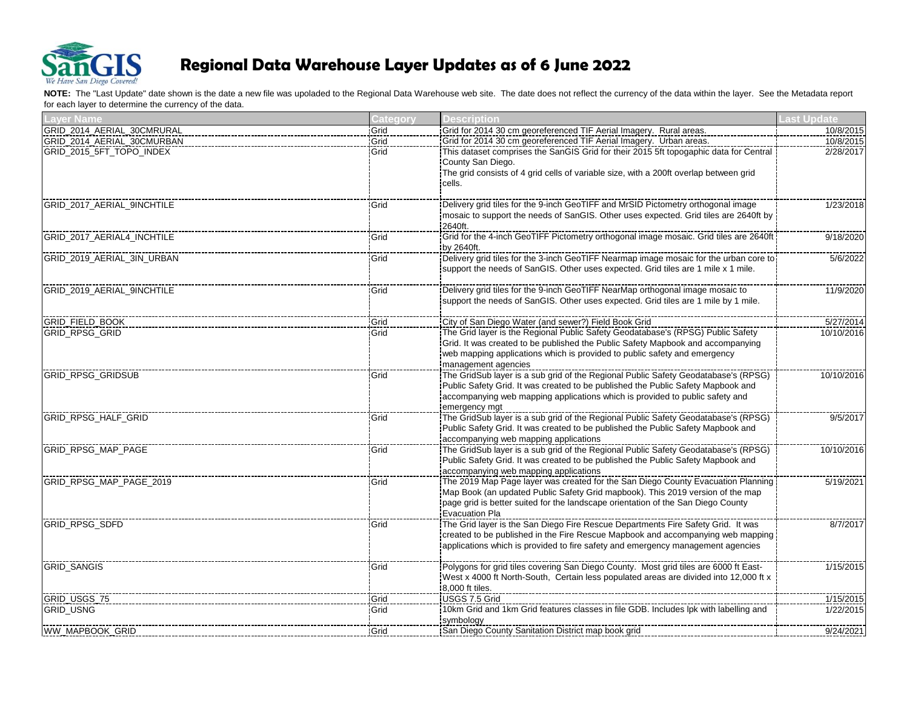

| <b>Layer Name</b>          | <b>Category</b> | <b>Description</b>                                                                                       | Last Update |
|----------------------------|-----------------|----------------------------------------------------------------------------------------------------------|-------------|
| GRID_2014_AERIAL_30CMRURAL | Grid            | Grid for 2014 30 cm georeferenced TIF Aerial Imagery. Rural areas.                                       | 10/8/2015   |
| GRID_2014_AERIAL_30CMURBAN | Grid            | Grid for 2014 30 cm georeferenced TIF Aerial Imagery. Urban areas.                                       | 10/8/2015   |
| GRID_2015_5FT_TOPO_INDEX   | Grid            | This dataset comprises the SanGIS Grid for their 2015 5ft topogaphic data for Central                    | 2/28/2017   |
|                            |                 | County San Diego.                                                                                        |             |
|                            |                 | The grid consists of 4 grid cells of variable size, with a 200ft overlap between grid                    |             |
|                            |                 | cells.                                                                                                   |             |
|                            |                 |                                                                                                          |             |
| GRID 2017 AERIAL 9INCHTILE | Grid            | Delivery grid tiles for the 9-inch GeoTIFF and MrSID Pictometry orthogonal image                         | 1/23/2018   |
|                            |                 | mosaic to support the needs of SanGIS. Other uses expected. Grid tiles are 2640ft by                     |             |
|                            |                 | 2640ft.                                                                                                  |             |
| GRID_2017_AERIAL4_INCHTILE | Grid            |                                                                                                          | 9/18/2020   |
| GRID_2019_AERIAL_3IN_URBAN | Grid            | by 2640ft.                                                                                               | 5/6/2022    |
|                            |                 | support the needs of SanGIS. Other uses expected. Grid tiles are 1 mile x 1 mile.                        |             |
|                            |                 |                                                                                                          |             |
| GRID 2019 AERIAL 9INCHTILE | Grid            | :Delivery grid tiles for the 9-inch GeoTIFF NearMap orthogonal image mosaic to                           | 11/9/2020   |
|                            |                 | support the needs of SanGIS. Other uses expected. Grid tiles are 1 mile by 1 mile.                       |             |
|                            |                 |                                                                                                          |             |
| GRID_FIELD_BOOK            | Grid            | City of San Diego Water (and sewer?) Field Book Grid                                                     | 5/27/2014   |
| <b>GRID RPSG GRID</b>      | Grid            | The Grid layer is the Regional Public Safety Geodatabase's (RPSG) Public Safety                          | 10/10/2016  |
|                            |                 | Grid. It was created to be published the Public Safety Mapbook and accompanying                          |             |
|                            |                 | web mapping applications which is provided to public safety and emergency                                |             |
|                            |                 | management agencies                                                                                      |             |
| <b>GRID RPSG GRIDSUB</b>   | Grid            | The GridSub layer is a sub grid of the Regional Public Safety Geodatabase's (RPSG)                       | 10/10/2016  |
|                            |                 | Public Safety Grid. It was created to be published the Public Safety Mapbook and                         |             |
|                            |                 | accompanying web mapping applications which is provided to public safety and                             |             |
| <b>GRID RPSG HALF GRID</b> | Grid            | emergency mgt<br>The GridSub layer is a sub grid of the Regional Public Safety Geodatabase's (RPSG)      | 9/5/2017    |
|                            |                 | Public Safety Grid. It was created to be published the Public Safety Mapbook and                         |             |
|                            |                 | accompanying web mapping applications                                                                    |             |
| <b>GRID RPSG MAP PAGE</b>  | Grid            | The GridSub layer is a sub grid of the Regional Public Safety Geodatabase's (RPSG)                       | 10/10/2016  |
|                            |                 | Public Safety Grid. It was created to be published the Public Safety Mapbook and                         |             |
|                            |                 | accompanying web mapping applications                                                                    |             |
| GRID RPSG MAP PAGE 2019    | Grid            | The 2019 Map Page layer was created for the San Diego County Evacuation Planning                         | 5/19/2021   |
|                            |                 | Map Book (an updated Public Safety Grid mapbook). This 2019 version of the map                           |             |
|                            |                 | page grid is better suited for the landscape orientation of the San Diego County                         |             |
|                            |                 | <b>Evacuation Pla</b>                                                                                    |             |
| GRID_RPSG_SDFD             | Grid            | The Grid layer is the San Diego Fire Rescue Departments Fire Safety Grid. It was                         | 8/7/2017    |
|                            |                 | created to be published in the Fire Rescue Mapbook and accompanying web mapping                          |             |
|                            |                 | applications which is provided to fire safety and emergency management agencies                          |             |
|                            |                 |                                                                                                          |             |
| <b>GRID SANGIS</b>         | Grid            |                                                                                                          | 1/15/2015   |
|                            |                 | West x 4000 ft North-South, Certain less populated areas are divided into 12,000 ft x<br>8,000 ft tiles. |             |
| GRID_USGS_75               | Grid            | USGS 7.5 Grid                                                                                            | 1/15/2015   |
| <b>GRID USNG</b>           | Grid            | 10km Grid and 1km Grid features classes in file GDB. Includes lpk with labelling and                     | 1/22/2015   |
|                            |                 | symbology                                                                                                |             |
| <b>WW_MAPBOOK_GRID</b>     | Grid            | San Diego County Sanitation District map book grid                                                       | 9/24/2021   |
|                            |                 |                                                                                                          |             |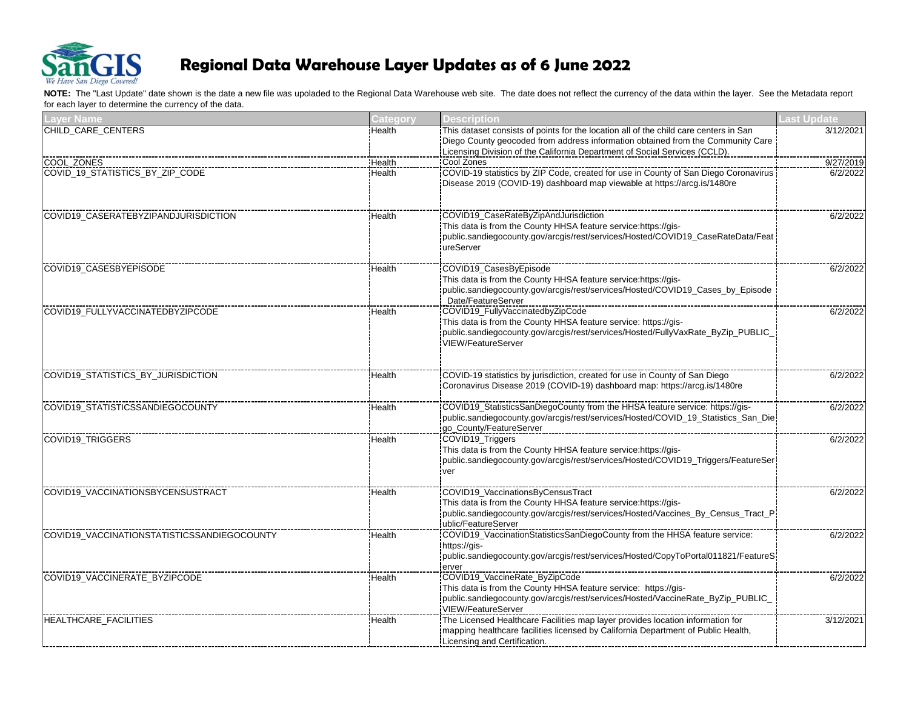

| <b>Layer Name</b>                             | <b>Category</b> | <b>Description</b>                                                                                 | Last Update |
|-----------------------------------------------|-----------------|----------------------------------------------------------------------------------------------------|-------------|
| CHILD_CARE_CENTERS                            | Health          | This dataset consists of points for the location all of the child care centers in San              | 3/12/2021   |
|                                               |                 | Diego County geocoded from address information obtained from the Community Care                    |             |
|                                               |                 | Licensing Division of the California Department of Social Services (CCLD).                         |             |
| COOL ZONES<br>COVID_19_STATISTICS_BY_ZIP_CODE | Health          | Cool Zones<br>ICOVID-19 statistics by ZIP Code, created for use in County of San Diego Coronavirus | 9/27/2019   |
|                                               | Health          | Disease 2019 (COVID-19) dashboard map viewable at https://arcg.is/1480re                           | 6/2/2022    |
|                                               |                 |                                                                                                    |             |
| COVID19_CASERATEBYZIPANDJURISDICTION          | Health          | COVID19 CaseRateByZipAndJurisdiction                                                               |             |
|                                               |                 | This data is from the County HHSA feature service:https://gis-                                     | 6/2/2022    |
|                                               |                 | public.sandiegocounty.gov/arcgis/rest/services/Hosted/COVID19_CaseRateData/Feat                    |             |
|                                               |                 | ureServer                                                                                          |             |
| COVID19 CASESBYEPISODE                        |                 | COVID19_CasesByEpisode                                                                             | 6/2/2022    |
|                                               | Health          | This data is from the County HHSA feature service:https://gis-                                     |             |
|                                               |                 | public.sandiegocounty.gov/arcgis/rest/services/Hosted/COVID19_Cases_by_Episode                     |             |
|                                               |                 | Date/FeatureServer                                                                                 |             |
| COVID19_FULLYVACCINATEDBYZIPCODE              | Health          | COVID19_FullyVaccinatedbyZipCode                                                                   | 6/2/2022    |
|                                               |                 | This data is from the County HHSA feature service: https://gis-                                    |             |
|                                               |                 | public.sandiegocounty.gov/arcgis/rest/services/Hosted/FullyVaxRate_ByZip_PUBLIC_                   |             |
|                                               |                 | VIEW/FeatureServer                                                                                 |             |
|                                               |                 |                                                                                                    |             |
| COVID19 STATISTICS BY JURISDICTION            | Health          | COVID-19 statistics by jurisdiction, created for use in County of San Diego                        | 6/2/2022    |
|                                               |                 | Coronavirus Disease 2019 (COVID-19) dashboard map: https://arcg.is/1480re                          |             |
| COVID19_STATISTICSSANDIEGOCOUNTY              |                 | COVID19_StatisticsSanDiegoCounty from the HHSA feature service: https://gis-                       | 6/2/2022    |
|                                               | Health          | public.sandiegocounty.gov/arcgis/rest/services/Hosted/COVID_19_Statistics_San_Die                  |             |
|                                               |                 | go_County/FeatureServer                                                                            |             |
| COVID19_TRIGGERS                              | Health          | COVID19_Triggers                                                                                   | 6/2/2022    |
|                                               |                 | This data is from the County HHSA feature service:https://gis-                                     |             |
|                                               |                 | public.sandiegocounty.gov/arcgis/rest/services/Hosted/COVID19_Triggers/FeatureSer                  |             |
|                                               |                 | ver                                                                                                |             |
| COVID19 VACCINATIONSBYCENSUSTRACT             | Health          | COVID19_VaccinationsByCensusTract                                                                  | 6/2/2022    |
|                                               |                 | This data is from the County HHSA feature service:https://gis-                                     |             |
|                                               |                 | public.sandiegocounty.gov/arcgis/rest/services/Hosted/Vaccines_By_Census_Tract_P                   |             |
|                                               |                 | ublic/FeatureServer                                                                                |             |
| COVID19 VACCINATIONSTATISTICSSANDIEGOCOUNTY   | Health          | COVID19_VaccinationStatisticsSanDiegoCounty from the HHSA feature service:                         | 6/2/2022    |
|                                               |                 | https://ais-                                                                                       |             |
|                                               |                 | public.sandiegocounty.gov/arcgis/rest/services/Hosted/CopyToPortal011821/FeatureS<br>erver         |             |
| COVID19_VACCINERATE_BYZIPCODE                 | Health          | COVID19_VaccineRate_ByZipCode                                                                      | 6/2/2022    |
|                                               |                 | This data is from the County HHSA feature service: https://gis-                                    |             |
|                                               |                 | public.sandiegocounty.gov/arcgis/rest/services/Hosted/VaccineRate_ByZip_PUBLIC_                    |             |
|                                               |                 | VIEW/FeatureServer                                                                                 |             |
| HEALTHCARE FACILITIES                         | Health          | The Licensed Healthcare Facilities map layer provides location information for                     | 3/12/2021   |
|                                               |                 | mapping healthcare facilities licensed by California Department of Public Health,                  |             |
|                                               |                 | Licensing and Certification.                                                                       |             |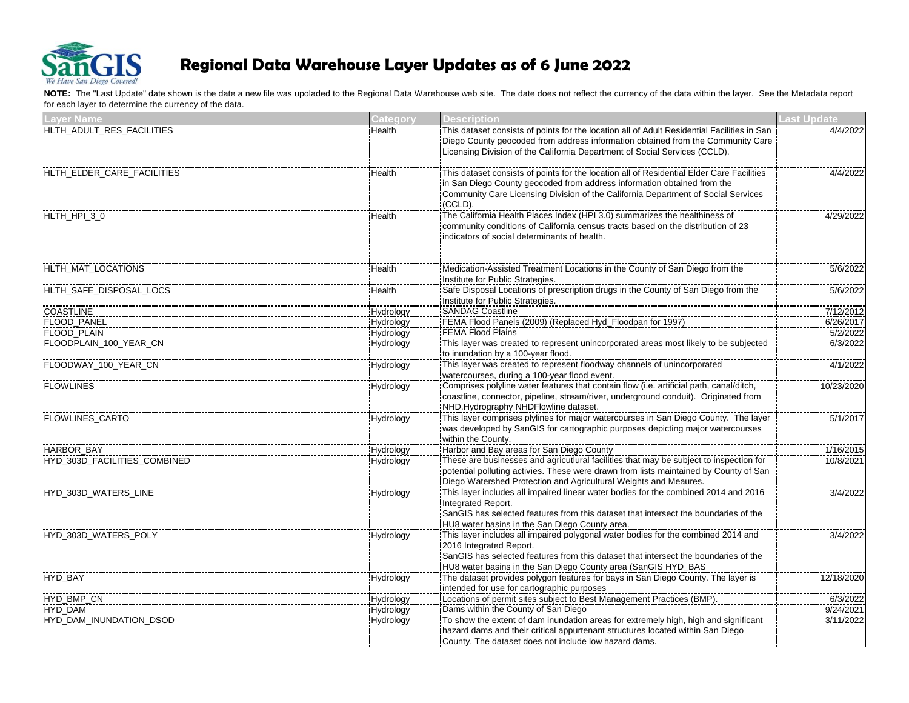

| <b>Layer Name</b>            | <b>Category</b> | <b>Description</b>                                                                                                         | <b>Last Update</b> |
|------------------------------|-----------------|----------------------------------------------------------------------------------------------------------------------------|--------------------|
| HLTH_ADULT_RES_FACILITIES    | Health          | This dataset consists of points for the location all of Adult Residential Facilities in San                                | 4/4/2022           |
|                              |                 | Diego County geocoded from address information obtained from the Community Care                                            |                    |
|                              |                 | Licensing Division of the California Department of Social Services (CCLD).                                                 |                    |
| HLTH_ELDER_CARE_FACILITIES   | Health          | This dataset consists of points for the location all of Residential Elder Care Facilities                                  | 4/4/2022           |
|                              |                 | in San Diego County geocoded from address information obtained from the                                                    |                    |
|                              |                 | Community Care Licensing Division of the California Department of Social Services                                          |                    |
|                              |                 | (CCLD).                                                                                                                    |                    |
| HLTH_HPI_3_0                 | Health          |                                                                                                                            | 4/29/2022          |
|                              |                 | community conditions of California census tracts based on the distribution of 23                                           |                    |
|                              |                 | indicators of social determinants of health.                                                                               |                    |
|                              |                 |                                                                                                                            |                    |
| HLTH MAT LOCATIONS           | Health          | Medication-Assisted Treatment Locations in the County of San Diego from the                                                | 5/6/2022           |
|                              |                 | Institute for Public Strategies.                                                                                           |                    |
| HLTH_SAFE_DISPOSAL_LOCS      | Health          |                                                                                                                            | 5/6/2022           |
|                              |                 | Institute for Public Strategies.                                                                                           |                    |
| <b>COASTLINE</b>             | Hydrology       | SANDAG Coastline                                                                                                           | 7/12/2012          |
| FLOOD_PANEL                  | Hydrology       | FEMA Flood Panels (2009) (Replaced Hyd_Floodpan for 1997)                                                                  | 6/26/2017          |
| FLOOD PLAIN                  | Hydrology       | FEMA Flood Plains                                                                                                          | 5/2/2022           |
| FLOODPLAIN_100_YEAR_CN       | Hydrology       | This layer was created to represent unincorporated areas most likely to be subjected<br>to inundation by a 100-year flood. | 6/3/2022           |
| FLOODWAY_100_YEAR_CN         | Hydrology       | This layer was created to represent floodway channels of unincorporated                                                    | 4/1/2022           |
|                              |                 | watercourses, during a 100-year flood event.                                                                               |                    |
| <b>FLOWLINES</b>             | Hydrology       | Comprises polyline water features that contain flow (i.e. artificial path, canal/ditch,                                    | 10/23/2020         |
|                              |                 | coastline, connector, pipeline, stream/river, underground conduit). Originated from                                        |                    |
|                              |                 | NHD.Hydrography NHDFlowline dataset.                                                                                       |                    |
| <b>FLOWLINES_CARTO</b>       | Hydrology       | This layer comprises plylines for major watercourses in San Diego County. The layer                                        | 5/1/2017           |
|                              |                 | was developed by SanGIS for cartographic purposes depicting major watercourses                                             |                    |
|                              |                 | within the County.                                                                                                         |                    |
| <b>HARBOR BAY</b>            | Hydrology       | Harbor and Bay areas for San Diego County                                                                                  | 1/16/2015          |
| HYD_303D_FACILITIES_COMBINED | Hydrology       | These are businesses and agricutlural facilities that may be subject to inspection for                                     | 10/8/2021          |
|                              |                 | potential polluting activies. These were drawn from lists maintained by County of San                                      |                    |
|                              |                 | Diego Watershed Protection and Agricultural Weights and Meaures.                                                           |                    |
| HYD_303D_WATERS_LINE         | Hydrology       | This layer includes all impaired linear water bodies for the combined 2014 and 2016                                        | 3/4/2022           |
|                              |                 | Integrated Report.                                                                                                         |                    |
|                              |                 | SanGIS has selected features from this dataset that intersect the boundaries of the                                        |                    |
|                              |                 | HU8 water basins in the San Diego County area.                                                                             |                    |
| HYD 303D WATERS POLY         | Hydrology       | This layer includes all impaired polygonal water bodies for the combined 2014 and                                          | 3/4/2022           |
|                              |                 | 2016 Integrated Report.                                                                                                    |                    |
|                              |                 | SanGIS has selected features from this dataset that intersect the boundaries of the                                        |                    |
|                              |                 | HU8 water basins in the San Diego County area (SanGIS HYD_BAS                                                              |                    |
| HYD_BAY                      | Hydrology       |                                                                                                                            | 12/18/2020         |
|                              |                 | intended for use for cartographic purposes                                                                                 |                    |
| HYD_BMP_CN                   | Hydrology       |                                                                                                                            | 6/3/2022           |
| HYD DAM                      | Hydrology       | Dams within the County of San Diego                                                                                        | 9/24/2021          |
| HYD_DAM_INUNDATION_DSOD      | Hydrology       | To show the extent of dam inundation areas for extremely high, high and significant                                        | 3/11/2022          |
|                              |                 | hazard dams and their critical appurtenant structures located within San Diego                                             |                    |
|                              |                 | County. The dataset does not include low hazard dams.                                                                      |                    |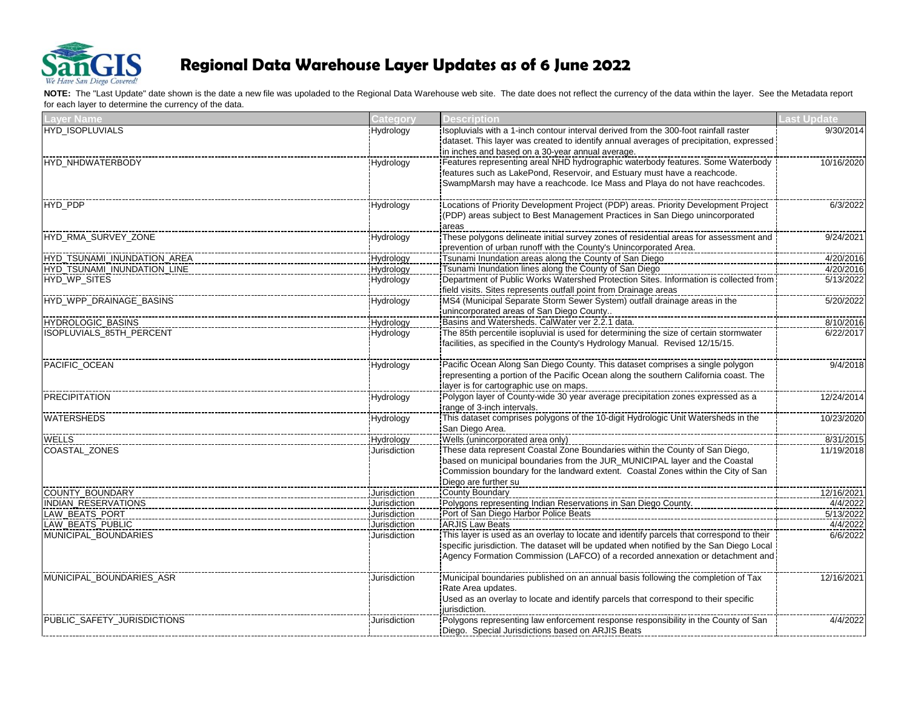

| <b>Layer Name</b>               | Category         | <b>Description</b>                                                                      | Last Update |
|---------------------------------|------------------|-----------------------------------------------------------------------------------------|-------------|
| HYD_ISOPLUVIALS                 | Hydrology        | Isopluvials with a 1-inch contour interval derived from the 300-foot rainfall raster    | 9/30/2014   |
|                                 |                  | dataset. This layer was created to identify annual averages of precipitation, expressed |             |
|                                 |                  | in inches and based on a 30-year annual average.                                        |             |
| HYD NHDWATERBODY                | Hydrology        | Features representing areal NHD hydrographic waterbody features. Some Waterbody         | 10/16/2020  |
|                                 |                  | features such as LakePond, Reservoir, and Estuary must have a reachcode.                |             |
|                                 |                  | SwampMarsh may have a reachcode. Ice Mass and Playa do not have reachcodes.             |             |
| HYD_PDP                         | Hydrology        |                                                                                         | 6/3/2022    |
|                                 |                  | (PDP) areas subject to Best Management Practices in San Diego unincorporated            |             |
|                                 |                  | areas                                                                                   |             |
| HYD_RMA_SURVEY_ZONE             | Hydrology        | These polygons delineate initial survey zones of residential areas for assessment and   | 9/24/2021   |
|                                 |                  | prevention of urban runoff with the County's Unincorporated Area.                       |             |
| HYD_TSUNAMI_INUNDATION_AREA     | Hydrology        | Tsunami Inundation areas along the County of San Diego                                  | 4/20/2016   |
| HYD_TSUNAMI_INUNDATION_LINE     | Hydrology        |                                                                                         | 4/20/2016   |
| HYD_WP_SITES                    | Hydrology        | Department of Public Works Watershed Protection Sites. Information is collected from    | 5/13/2022   |
|                                 |                  | field visits. Sites represents outfall point from Drainage areas                        |             |
| HYD WPP DRAINAGE BASINS         | Hydrology        | MS4 (Municipal Separate Storm Sewer System) outfall drainage areas in the               | 5/20/2022   |
|                                 |                  | unincorporated areas of San Diego County                                                |             |
| HYDROLOGIC BASINS               | Hydrology        | Basins and Watersheds. CalWater ver 2.2.1 data.                                         | 8/10/2016   |
| <b>ISOPLUVIALS_85TH_PERCENT</b> | Hydrology        | The 85th percentile isopluvial is used for determining the size of certain stormwater   | 6/22/2017   |
|                                 |                  | facilities, as specified in the County's Hydrology Manual. Revised 12/15/15.            |             |
| PACIFIC OCEAN                   | Hydrology        | Pacific Ocean Along San Diego County. This dataset comprises a single polygon           | 9/4/2018    |
|                                 |                  | representing a portion of the Pacific Ocean along the southern California coast. The    |             |
|                                 |                  | layer is for cartographic use on maps.                                                  |             |
| <b>PRECIPITATION</b>            | Hydrology        |                                                                                         | 12/24/2014  |
|                                 |                  | range of 3-inch intervals.                                                              |             |
| <b>WATERSHEDS</b>               | <b>Hydrology</b> |                                                                                         | 10/23/2020  |
|                                 |                  | San Diego Area.                                                                         |             |
| <b>WELLS</b>                    | Hydrology        | Wells (unincorporated area only)                                                        | 8/31/2015   |
| <b>COASTAL ZONES</b>            | Jurisdiction     |                                                                                         | 11/19/2018  |
|                                 |                  | based on municipal boundaries from the JUR_MUNICIPAL layer and the Coastal              |             |
|                                 |                  | Commission boundary for the landward extent. Coastal Zones within the City of San       |             |
|                                 |                  | Diego are further su                                                                    |             |
| COUNTY_BOUNDARY                 | Jurisdiction     | <b>County Boundary</b>                                                                  | 12/16/2021  |
| INDIAN_RESERVATIONS             | Jurisdiction     |                                                                                         | 4/4/2022    |
| LAW_BEATS_PORT                  | Jurisdiction     | Port of San Diego Harbor Police Beats                                                   | 5/13/2022   |
| LAW_BEATS_PUBLIC                | Jurisdiction     | <b>ARJIS Law Beats</b>                                                                  | 4/4/2022    |
| MUNICIPAL BOUNDARIES            | Jurisdiction     |                                                                                         | 6/6/2022    |
|                                 |                  | specific jurisdiction. The dataset will be updated when notified by the San Diego Local |             |
|                                 |                  | Agency Formation Commission (LAFCO) of a recorded annexation or detachment and          |             |
| MUNICIPAL_BOUNDARIES_ASR        | Jurisdiction     | Municipal boundaries published on an annual basis following the completion of Tax       | 12/16/2021  |
|                                 |                  | Rate Area updates.                                                                      |             |
|                                 |                  | Used as an overlay to locate and identify parcels that correspond to their specific     |             |
|                                 |                  | iurisdiction.                                                                           |             |
| PUBLIC_SAFETY_JURISDICTIONS     | Jurisdiction     | Polygons representing law enforcement response responsibility in the County of San      | 4/4/2022    |
|                                 |                  | Diego. Special Jurisdictions based on ARJIS Beats                                       |             |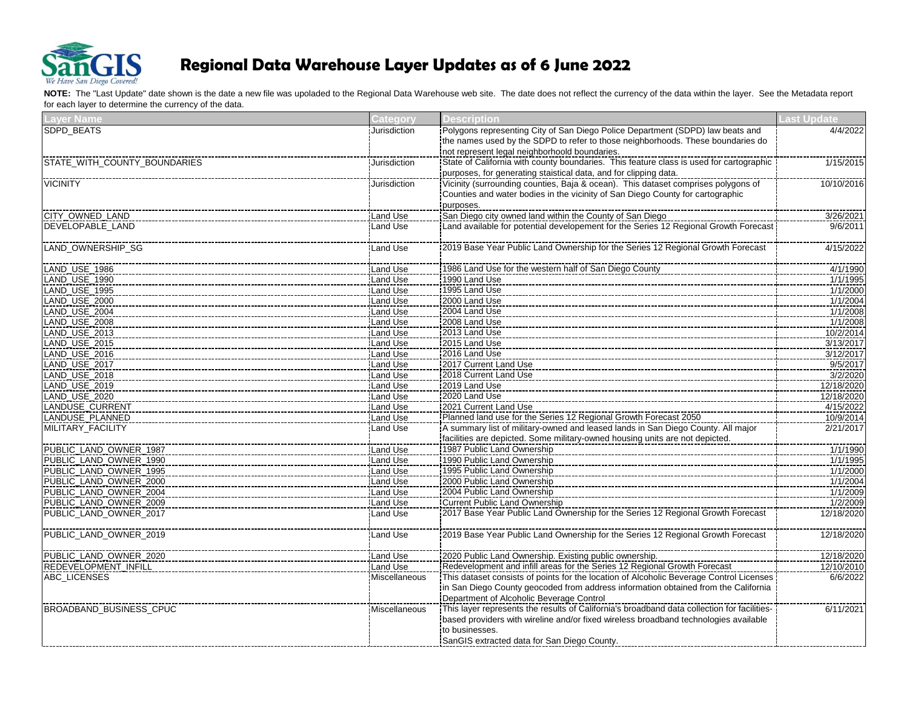

| <b>Layer Name</b>            | Category        | <b>Description</b>                                                                      | <b>Last Update</b> |
|------------------------------|-----------------|-----------------------------------------------------------------------------------------|--------------------|
| SDPD_BEATS                   | Jurisdiction    | Polygons representing City of San Diego Police Department (SDPD) law beats and          | 4/4/2022           |
|                              |                 | the names used by the SDPD to refer to those neighborhoods. These boundaries do         |                    |
|                              |                 | not represent legal neighborhoold boundaries.                                           |                    |
| STATE_WITH_COUNTY_BOUNDARIES | Jurisdiction    | State of California with county boundaries. This feature class is used for cartographic | 1/15/2015          |
|                              |                 | purposes, for generating staistical data, and for clipping data.                        |                    |
| <b>VICINITY</b>              | Jurisdiction    | Vicinity (surrounding counties, Baja & ocean). This dataset comprises polygons of       | 10/10/2016         |
|                              |                 | Counties and water bodies in the vicinity of San Diego County for cartographic          |                    |
|                              |                 | purposes.                                                                               |                    |
| CITY_OWNED_LAND              | Land Use        | San Diego city owned land within the County of San Diego                                | 3/26/2021          |
| DEVELOPABLE LAND             | Land Use        |                                                                                         | 9/6/2011           |
|                              |                 |                                                                                         |                    |
| LAND_OWNERSHIP_SG            | Land Use        | 2019 Base Year Public Land Ownership for the Series 12 Regional Growth Forecast         | 4/15/2022          |
|                              |                 |                                                                                         |                    |
| LAND_USE_1986                | Land Use        | 1986 Land Use for the western half of San Diego County                                  | 4/1/1990           |
| LAND_USE_1990                | Land Use        | 1990 Land Use                                                                           | 1/1/1995           |
| LAND_USE_1995                | Land Use        | 1995 Land Use                                                                           | 1/1/2000           |
| LAND_USE_2000                | Land Use        | 2000 Land Use                                                                           | 1/1/2004           |
| LAND_USE_2004                | Land Use        | 2004 Land Use                                                                           | 1/1/2008           |
| LAND_USE_2008                | Land Use        | 2008 Land Use                                                                           | 1/1/2008           |
| LAND_USE_2013                | Land Use        | 2013 Land Use                                                                           | 10/2/2014          |
| LAND_USE_2015                | Land Use        | 2015 Land Use                                                                           | 3/13/2017          |
| LAND_USE_2016                | Land Use        | 2016 Land Use                                                                           | 3/12/2017          |
| LAND_USE_2017                | <b>Land Use</b> | 2017 Current Land Use                                                                   | 9/5/2017           |
| LAND_USE_2018                | Land Use        | 2018 Current Land Use                                                                   | 3/2/2020           |
| LAND_USE_2019                | <b>Land Use</b> | 2019 Land Use                                                                           | 12/18/2020         |
| LAND_USE_2020                | Land Use        | 2020 Land Use                                                                           | 12/18/2020         |
| LANDUSE_CURRENT              | Land Use        | 2021 Current Land Use                                                                   | 4/15/2022          |
| LANDUSE_PLANNED              | Land Use        | Planned land use for the Series 12 Regional Growth Forecast 2050                        | 10/9/2014          |
| MILITARY_FACILITY            | Land Use        |                                                                                         | 2/21/2017          |
|                              |                 | facilities are depicted. Some military-owned housing units are not depicted.            |                    |
| PUBLIC_LAND_OWNER_1987       | Land Use        | 1987 Public Land Ownership                                                              | 1/1/1990           |
| PUBLIC LAND OWNER 1990       | Land Use        | 1990 Public Land Ownership                                                              | 1/1/1995           |
| PUBLIC_LAND_OWNER_1995       | Land Use        | 1995 Public Land Ownership                                                              | 1/1/2000           |
| PUBLIC_LAND_OWNER_2000       | Land Use        | 2000 Public Land Ownership                                                              | 1/1/2004           |
| PUBLIC_LAND_OWNER_2004       | <b>Land Use</b> | 2004 Public Land Ownership                                                              | 1/1/2009           |
| PUBLIC_LAND_OWNER_2009       | Land Use        | Current Public Land Ownership                                                           | 1/2/2009           |
| PUBLIC_LAND_OWNER_2017       | <b>Land Use</b> | 12017 Base Year Public Land Ownership for the Series 12 Regional Growth Forecast        | 12/18/2020         |
|                              |                 |                                                                                         |                    |
| PUBLIC_LAND_OWNER_2019       | Land Use        |                                                                                         | 12/18/2020         |
|                              |                 |                                                                                         |                    |
| PUBLIC_LAND_OWNER_2020       | Land Use        |                                                                                         | 12/18/2020         |
| REDEVELOPMENT_INFILL         | Land Use        |                                                                                         | 12/10/2010         |
| ABC_LICENSES                 | Miscellaneous   | This dataset consists of points for the location of Alcoholic Beverage Control Licenses | 6/6/2022           |
|                              |                 | in San Diego County geocoded from address information obtained from the California      |                    |
|                              |                 | Department of Alcoholic Beverage Control                                                |                    |
|                              |                 |                                                                                         |                    |
| BROADBAND_BUSINESS_CPUC      | Miscellaneous   |                                                                                         | 6/11/2021          |
|                              |                 | based providers with wireline and/or fixed wireless broadband technologies available    |                    |
|                              |                 | to businesses.                                                                          |                    |
|                              |                 | SanGIS extracted data for San Diego County.                                             |                    |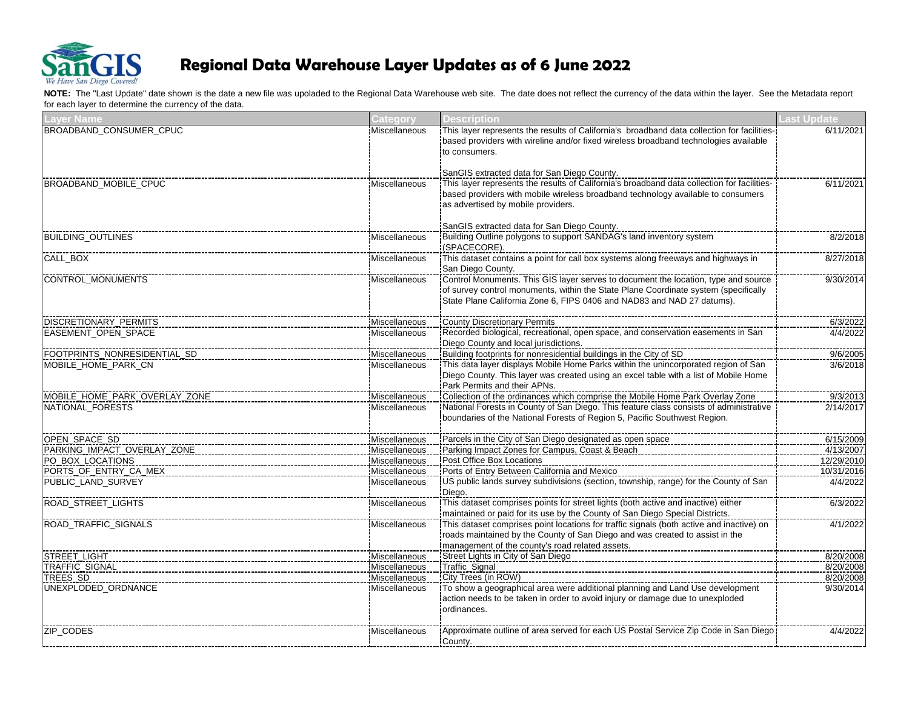

| <b>Layer Name</b>                     | <b>Category</b>                | <b>Description</b>                                                                                      | <b>Last Update</b>     |
|---------------------------------------|--------------------------------|---------------------------------------------------------------------------------------------------------|------------------------|
| BROADBAND_CONSUMER_CPUC               | Miscellaneous                  | This layer represents the results of California's broadband data collection for facilities-             | 6/11/2021              |
|                                       |                                | based providers with wireline and/or fixed wireless broadband technologies available                    |                        |
|                                       |                                | to consumers.                                                                                           |                        |
|                                       |                                | SanGIS extracted data for San Diego County.                                                             |                        |
| BROADBAND MOBILE CPUC                 | <b>Miscellaneous</b>           | This layer represents the results of California's broadband data collection for facilities-             | 6/11/2021              |
|                                       |                                | based providers with mobile wireless broadband technology available to consumers                        |                        |
|                                       |                                | as advertised by mobile providers.                                                                      |                        |
|                                       |                                |                                                                                                         |                        |
|                                       |                                | SanGIS extracted data for San Diego County.                                                             |                        |
| <b>BUILDING OUTLINES</b>              | <b>Miscellaneous</b>           | Building Outline polygons to support SANDAG's land inventory system                                     | 8/2/2018               |
|                                       |                                | (SPACECORE).                                                                                            |                        |
| CALL_BOX                              | Miscellaneous                  | This dataset contains a point for call box systems along freeways and highways in                       | 8/27/2018              |
|                                       |                                | San Diego County.<br>control Monuments. This GIS layer serves to document the location, type and source |                        |
| <b>CONTROL_MONUMENTS</b>              | Miscellaneous                  | of survey control monuments, within the State Plane Coordinate system (specifically                     | 9/30/2014              |
|                                       |                                | State Plane California Zone 6, FIPS 0406 and NAD83 and NAD 27 datums).                                  |                        |
|                                       |                                |                                                                                                         |                        |
| <b>DISCRETIONARY_PERMITS</b>          | Miscellaneous                  | <b>County Discretionary Permits</b>                                                                     | 6/3/2022               |
| EASEMENT_OPEN_SPACE                   | Miscellaneous                  | Recorded biological, recreational, open space, and conservation easements in San                        | 4/4/2022               |
|                                       |                                | Diego County and local jurisdictions.                                                                   |                        |
| FOOTPRINTS_NONRESIDENTIAL_SD          | Miscellaneous                  | Building footprints for nonresidential buildings in the City of SD                                      | 9/6/2005               |
| MOBILE_HOME_PARK_CN                   | Miscellaneous                  | This data layer displays Mobile Home Parks within the unincorporated region of San                      | 3/6/2018               |
|                                       |                                | Diego County. This layer was created using an excel table with a list of Mobile Home                    |                        |
|                                       |                                | Park Permits and their APNs.                                                                            |                        |
| MOBILE_HOME_PARK_OVERLAY_ZONE         | Miscellaneous                  |                                                                                                         | 9/3/2013               |
| NATIONAL FORESTS                      | Miscellaneous                  | National Forests in County of San Diego. This feature class consists of administrative                  | 2/14/2017              |
|                                       |                                | boundaries of the National Forests of Region 5, Pacific Southwest Region.                               |                        |
| OPEN_SPACE_SD                         | Miscellaneous                  | Parcels in the City of San Diego designated as open space                                               | 6/15/2009              |
| PARKING_IMPACT_OVERLAY_ZONE           | Miscellaneous                  | Parking Impact Zones for Campus, Coast & Beach                                                          | 4/13/2007              |
| PO_BOX_LOCATIONS                      | Miscellaneous                  | Post Office Box Locations                                                                               | 12/29/2010             |
| PORTS OF ENTRY CA_MEX                 | Miscellaneous                  | Ports of Entry Between California and Mexico                                                            | 10/31/2016             |
| PUBLIC_LAND_SURVEY                    | Miscellaneous                  |                                                                                                         | 4/4/2022               |
|                                       |                                | Diego.                                                                                                  |                        |
| ROAD_STREET_LIGHTS                    | Miscellaneous                  | This dataset comprises points for street lights (both active and inactive) either                       | 6/3/2022               |
|                                       |                                | maintained or paid for its use by the County of San Diego Special Districts.                            |                        |
| ROAD_TRAFFIC_SIGNALS                  | Miscellaneous                  | This dataset comprises point locations for traffic signals (both active and inactive) on                | 4/1/2022               |
|                                       |                                | roads maintained by the County of San Diego and was created to assist in the                            |                        |
|                                       |                                | management of the county's road related assets.                                                         |                        |
| STREET_LIGHT<br><b>TRAFFIC SIGNAL</b> | Miscellaneous<br>Miscellaneous | Street Lights in City of San Diego<br>Traffic_Signal                                                    | 8/20/2008<br>8/20/2008 |
| TREES SD                              | Miscellaneous                  | City Trees (in ROW)                                                                                     | 8/20/2008              |
| UNEXPLODED ORDNANCE                   | Miscellaneous                  |                                                                                                         | 9/30/2014              |
|                                       |                                | action needs to be taken in order to avoid injury or damage due to unexploded                           |                        |
|                                       |                                | ordinances.                                                                                             |                        |
|                                       |                                |                                                                                                         |                        |
| ZIP_CODES                             | Miscellaneous                  |                                                                                                         | 4/4/2022               |
|                                       |                                | County.                                                                                                 |                        |
|                                       |                                |                                                                                                         |                        |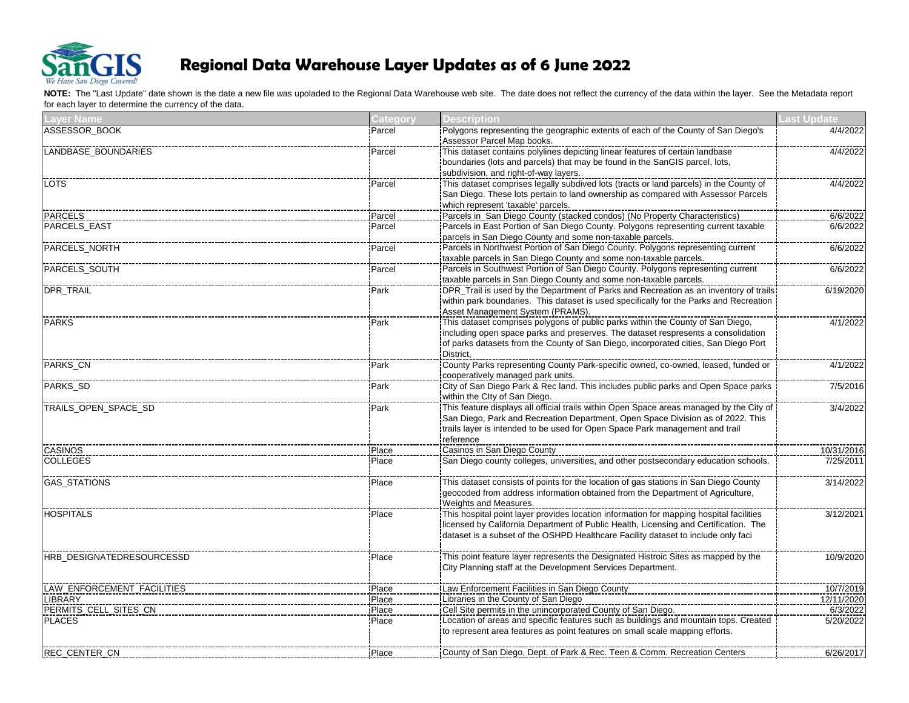

| ASSESSOR BOOK<br>Polygons representing the geographic extents of each of the County of San Diego's<br>Parcel<br>Assessor Parcel Map books.<br>LANDBASE BOUNDARIES<br>This dataset contains polylines depicting linear features of certain landbase<br>Parcel<br>boundaries (lots and parcels) that may be found in the SanGIS parcel, lots,<br>subdivision, and right-of-way layers.<br><b>LOTS</b><br>Parcel<br>San Diego. These lots pertain to land ownership as compared with Assessor Parcels<br>which represent 'taxable' parcels.<br>Parcels in San Diego County (stacked condos) (No Property Characteristics)<br><b>PARCELS</b><br>Parcel<br>Parcels in East Portion of San Diego County. Polygons representing current taxable<br>PARCELS EAST<br>Parcel<br>parcels in San Diego County and some non-taxable parcels.<br>PARCELS_NORTH<br>Parcel<br>taxable parcels in San Diego County and some non-taxable parcels.<br>PARCELS_SOUTH<br>Parcels in Southwest Portion of San Diego County. Polygons representing current<br>Parcel<br>taxable parcels in San Diego County and some non-taxable parcels.<br>DPR_TRAIL<br>Park<br>within park boundaries. This dataset is used specifically for the Parks and Recreation<br>Asset Management System (PRAMS).<br>This dataset comprises polygons of public parks within the County of San Diego,<br><b>PARKS</b><br>Park<br>including open space parks and preserves. The dataset respresents a consolidation<br>of parks datasets from the County of San Diego, incorporated cities, San Diego Port<br>District,<br>PARKS_CN<br>Park<br>cooperatively managed park units.<br>PARKS_SD<br>Park<br>within the Clty of San Diego.<br>This feature displays all official trails within Open Space areas managed by the City of<br>TRAILS_OPEN_SPACE_SD<br>Park<br>San Diego, Park and Recreation Department, Open Space Division as of 2022. This<br>Itrails layer is intended to be used for Open Space Park management and trail<br>reference<br><b>CASINOS</b><br>Casinos in San Diego County<br>Place<br><u>  Casinos in Carl Diego County</u><br> San Diego county colleges, universities, and other postsecondary education schools.<br><b>COLLEGES</b><br>Place<br>GAS_STATIONS<br>This dataset consists of points for the location of gas stations in San Diego County<br>Place<br>geocoded from address information obtained from the Department of Agriculture,<br>Weights and Measures.<br><b>HOSPITALS</b><br>This hospital point layer provides location information for mapping hospital facilities<br>Place<br>licensed by California Department of Public Health, Licensing and Certification. The<br>dataset is a subset of the OSHPD Healthcare Facility dataset to include only faci<br>This point feature layer represents the Designated Histroic Sites as mapped by the<br>HRB DESIGNATEDRESOURCESSD<br>Place<br>City Planning staff at the Development Services Department.<br>LAW_ENFORCEMENT_FACILITIES<br>Law Enforcement Facilities in San Diego County<br>Place<br>Libraries in the County of San Diego<br>LIBRARY<br>Place<br>Cell Site permits in the unincorporated County of San Diego.<br>PERMITS_CELL_SITES_CN<br>Place<br>Location of areas and specific features such as buildings and mountain tops. Created<br><b>PLACES</b><br>Place<br>to represent area features as point features on small scale mapping efforts.<br>REC_CENTER_CN<br>Place | <b>Layer Name</b> | Category | <b>Description</b> | Last Update |
|--------------------------------------------------------------------------------------------------------------------------------------------------------------------------------------------------------------------------------------------------------------------------------------------------------------------------------------------------------------------------------------------------------------------------------------------------------------------------------------------------------------------------------------------------------------------------------------------------------------------------------------------------------------------------------------------------------------------------------------------------------------------------------------------------------------------------------------------------------------------------------------------------------------------------------------------------------------------------------------------------------------------------------------------------------------------------------------------------------------------------------------------------------------------------------------------------------------------------------------------------------------------------------------------------------------------------------------------------------------------------------------------------------------------------------------------------------------------------------------------------------------------------------------------------------------------------------------------------------------------------------------------------------------------------------------------------------------------------------------------------------------------------------------------------------------------------------------------------------------------------------------------------------------------------------------------------------------------------------------------------------------------------------------------------------------------------------------------------------------------------------------------------------------------------------------------------------------------------------------------------------------------------------------------------------------------------------------------------------------------------------------------------------------------------------------------------------------------------------------------------------------------------------------------------------------------------------------------------------------------------------------------------------------------------------------------------------------------------------------------------------------------------------------------------------------------------------------------------------------------------------------------------------------------------------------------------------------------------------------------------------------------------------------------------------------------------------------------------------------------------------------------------------------------------------------------------------------------------------------------------------------------------------------------------------------------------------------------------------------------------------------------------------------------------------------------|-------------------|----------|--------------------|-------------|
|                                                                                                                                                                                                                                                                                                                                                                                                                                                                                                                                                                                                                                                                                                                                                                                                                                                                                                                                                                                                                                                                                                                                                                                                                                                                                                                                                                                                                                                                                                                                                                                                                                                                                                                                                                                                                                                                                                                                                                                                                                                                                                                                                                                                                                                                                                                                                                                                                                                                                                                                                                                                                                                                                                                                                                                                                                                                                                                                                                                                                                                                                                                                                                                                                                                                                                                                                                                                                                            |                   |          |                    | 4/4/2022    |
|                                                                                                                                                                                                                                                                                                                                                                                                                                                                                                                                                                                                                                                                                                                                                                                                                                                                                                                                                                                                                                                                                                                                                                                                                                                                                                                                                                                                                                                                                                                                                                                                                                                                                                                                                                                                                                                                                                                                                                                                                                                                                                                                                                                                                                                                                                                                                                                                                                                                                                                                                                                                                                                                                                                                                                                                                                                                                                                                                                                                                                                                                                                                                                                                                                                                                                                                                                                                                                            |                   |          |                    | 4/4/2022    |
|                                                                                                                                                                                                                                                                                                                                                                                                                                                                                                                                                                                                                                                                                                                                                                                                                                                                                                                                                                                                                                                                                                                                                                                                                                                                                                                                                                                                                                                                                                                                                                                                                                                                                                                                                                                                                                                                                                                                                                                                                                                                                                                                                                                                                                                                                                                                                                                                                                                                                                                                                                                                                                                                                                                                                                                                                                                                                                                                                                                                                                                                                                                                                                                                                                                                                                                                                                                                                                            |                   |          |                    | 4/4/2022    |
|                                                                                                                                                                                                                                                                                                                                                                                                                                                                                                                                                                                                                                                                                                                                                                                                                                                                                                                                                                                                                                                                                                                                                                                                                                                                                                                                                                                                                                                                                                                                                                                                                                                                                                                                                                                                                                                                                                                                                                                                                                                                                                                                                                                                                                                                                                                                                                                                                                                                                                                                                                                                                                                                                                                                                                                                                                                                                                                                                                                                                                                                                                                                                                                                                                                                                                                                                                                                                                            |                   |          |                    | 6/6/2022    |
|                                                                                                                                                                                                                                                                                                                                                                                                                                                                                                                                                                                                                                                                                                                                                                                                                                                                                                                                                                                                                                                                                                                                                                                                                                                                                                                                                                                                                                                                                                                                                                                                                                                                                                                                                                                                                                                                                                                                                                                                                                                                                                                                                                                                                                                                                                                                                                                                                                                                                                                                                                                                                                                                                                                                                                                                                                                                                                                                                                                                                                                                                                                                                                                                                                                                                                                                                                                                                                            |                   |          |                    | 6/6/2022    |
|                                                                                                                                                                                                                                                                                                                                                                                                                                                                                                                                                                                                                                                                                                                                                                                                                                                                                                                                                                                                                                                                                                                                                                                                                                                                                                                                                                                                                                                                                                                                                                                                                                                                                                                                                                                                                                                                                                                                                                                                                                                                                                                                                                                                                                                                                                                                                                                                                                                                                                                                                                                                                                                                                                                                                                                                                                                                                                                                                                                                                                                                                                                                                                                                                                                                                                                                                                                                                                            |                   |          |                    | 6/6/2022    |
|                                                                                                                                                                                                                                                                                                                                                                                                                                                                                                                                                                                                                                                                                                                                                                                                                                                                                                                                                                                                                                                                                                                                                                                                                                                                                                                                                                                                                                                                                                                                                                                                                                                                                                                                                                                                                                                                                                                                                                                                                                                                                                                                                                                                                                                                                                                                                                                                                                                                                                                                                                                                                                                                                                                                                                                                                                                                                                                                                                                                                                                                                                                                                                                                                                                                                                                                                                                                                                            |                   |          |                    | 6/6/2022    |
|                                                                                                                                                                                                                                                                                                                                                                                                                                                                                                                                                                                                                                                                                                                                                                                                                                                                                                                                                                                                                                                                                                                                                                                                                                                                                                                                                                                                                                                                                                                                                                                                                                                                                                                                                                                                                                                                                                                                                                                                                                                                                                                                                                                                                                                                                                                                                                                                                                                                                                                                                                                                                                                                                                                                                                                                                                                                                                                                                                                                                                                                                                                                                                                                                                                                                                                                                                                                                                            |                   |          |                    | 6/19/2020   |
|                                                                                                                                                                                                                                                                                                                                                                                                                                                                                                                                                                                                                                                                                                                                                                                                                                                                                                                                                                                                                                                                                                                                                                                                                                                                                                                                                                                                                                                                                                                                                                                                                                                                                                                                                                                                                                                                                                                                                                                                                                                                                                                                                                                                                                                                                                                                                                                                                                                                                                                                                                                                                                                                                                                                                                                                                                                                                                                                                                                                                                                                                                                                                                                                                                                                                                                                                                                                                                            |                   |          |                    | 4/1/2022    |
|                                                                                                                                                                                                                                                                                                                                                                                                                                                                                                                                                                                                                                                                                                                                                                                                                                                                                                                                                                                                                                                                                                                                                                                                                                                                                                                                                                                                                                                                                                                                                                                                                                                                                                                                                                                                                                                                                                                                                                                                                                                                                                                                                                                                                                                                                                                                                                                                                                                                                                                                                                                                                                                                                                                                                                                                                                                                                                                                                                                                                                                                                                                                                                                                                                                                                                                                                                                                                                            |                   |          |                    | 4/1/2022    |
|                                                                                                                                                                                                                                                                                                                                                                                                                                                                                                                                                                                                                                                                                                                                                                                                                                                                                                                                                                                                                                                                                                                                                                                                                                                                                                                                                                                                                                                                                                                                                                                                                                                                                                                                                                                                                                                                                                                                                                                                                                                                                                                                                                                                                                                                                                                                                                                                                                                                                                                                                                                                                                                                                                                                                                                                                                                                                                                                                                                                                                                                                                                                                                                                                                                                                                                                                                                                                                            |                   |          |                    | 7/5/2016    |
|                                                                                                                                                                                                                                                                                                                                                                                                                                                                                                                                                                                                                                                                                                                                                                                                                                                                                                                                                                                                                                                                                                                                                                                                                                                                                                                                                                                                                                                                                                                                                                                                                                                                                                                                                                                                                                                                                                                                                                                                                                                                                                                                                                                                                                                                                                                                                                                                                                                                                                                                                                                                                                                                                                                                                                                                                                                                                                                                                                                                                                                                                                                                                                                                                                                                                                                                                                                                                                            |                   |          |                    | 3/4/2022    |
|                                                                                                                                                                                                                                                                                                                                                                                                                                                                                                                                                                                                                                                                                                                                                                                                                                                                                                                                                                                                                                                                                                                                                                                                                                                                                                                                                                                                                                                                                                                                                                                                                                                                                                                                                                                                                                                                                                                                                                                                                                                                                                                                                                                                                                                                                                                                                                                                                                                                                                                                                                                                                                                                                                                                                                                                                                                                                                                                                                                                                                                                                                                                                                                                                                                                                                                                                                                                                                            |                   |          |                    | 10/31/2016  |
|                                                                                                                                                                                                                                                                                                                                                                                                                                                                                                                                                                                                                                                                                                                                                                                                                                                                                                                                                                                                                                                                                                                                                                                                                                                                                                                                                                                                                                                                                                                                                                                                                                                                                                                                                                                                                                                                                                                                                                                                                                                                                                                                                                                                                                                                                                                                                                                                                                                                                                                                                                                                                                                                                                                                                                                                                                                                                                                                                                                                                                                                                                                                                                                                                                                                                                                                                                                                                                            |                   |          |                    | 7/25/2011   |
|                                                                                                                                                                                                                                                                                                                                                                                                                                                                                                                                                                                                                                                                                                                                                                                                                                                                                                                                                                                                                                                                                                                                                                                                                                                                                                                                                                                                                                                                                                                                                                                                                                                                                                                                                                                                                                                                                                                                                                                                                                                                                                                                                                                                                                                                                                                                                                                                                                                                                                                                                                                                                                                                                                                                                                                                                                                                                                                                                                                                                                                                                                                                                                                                                                                                                                                                                                                                                                            |                   |          |                    | 3/14/2022   |
|                                                                                                                                                                                                                                                                                                                                                                                                                                                                                                                                                                                                                                                                                                                                                                                                                                                                                                                                                                                                                                                                                                                                                                                                                                                                                                                                                                                                                                                                                                                                                                                                                                                                                                                                                                                                                                                                                                                                                                                                                                                                                                                                                                                                                                                                                                                                                                                                                                                                                                                                                                                                                                                                                                                                                                                                                                                                                                                                                                                                                                                                                                                                                                                                                                                                                                                                                                                                                                            |                   |          |                    | 3/12/2021   |
|                                                                                                                                                                                                                                                                                                                                                                                                                                                                                                                                                                                                                                                                                                                                                                                                                                                                                                                                                                                                                                                                                                                                                                                                                                                                                                                                                                                                                                                                                                                                                                                                                                                                                                                                                                                                                                                                                                                                                                                                                                                                                                                                                                                                                                                                                                                                                                                                                                                                                                                                                                                                                                                                                                                                                                                                                                                                                                                                                                                                                                                                                                                                                                                                                                                                                                                                                                                                                                            |                   |          |                    | 10/9/2020   |
|                                                                                                                                                                                                                                                                                                                                                                                                                                                                                                                                                                                                                                                                                                                                                                                                                                                                                                                                                                                                                                                                                                                                                                                                                                                                                                                                                                                                                                                                                                                                                                                                                                                                                                                                                                                                                                                                                                                                                                                                                                                                                                                                                                                                                                                                                                                                                                                                                                                                                                                                                                                                                                                                                                                                                                                                                                                                                                                                                                                                                                                                                                                                                                                                                                                                                                                                                                                                                                            |                   |          |                    | 10/7/2019   |
|                                                                                                                                                                                                                                                                                                                                                                                                                                                                                                                                                                                                                                                                                                                                                                                                                                                                                                                                                                                                                                                                                                                                                                                                                                                                                                                                                                                                                                                                                                                                                                                                                                                                                                                                                                                                                                                                                                                                                                                                                                                                                                                                                                                                                                                                                                                                                                                                                                                                                                                                                                                                                                                                                                                                                                                                                                                                                                                                                                                                                                                                                                                                                                                                                                                                                                                                                                                                                                            |                   |          |                    | 12/11/2020  |
|                                                                                                                                                                                                                                                                                                                                                                                                                                                                                                                                                                                                                                                                                                                                                                                                                                                                                                                                                                                                                                                                                                                                                                                                                                                                                                                                                                                                                                                                                                                                                                                                                                                                                                                                                                                                                                                                                                                                                                                                                                                                                                                                                                                                                                                                                                                                                                                                                                                                                                                                                                                                                                                                                                                                                                                                                                                                                                                                                                                                                                                                                                                                                                                                                                                                                                                                                                                                                                            |                   |          |                    | 6/3/2022    |
|                                                                                                                                                                                                                                                                                                                                                                                                                                                                                                                                                                                                                                                                                                                                                                                                                                                                                                                                                                                                                                                                                                                                                                                                                                                                                                                                                                                                                                                                                                                                                                                                                                                                                                                                                                                                                                                                                                                                                                                                                                                                                                                                                                                                                                                                                                                                                                                                                                                                                                                                                                                                                                                                                                                                                                                                                                                                                                                                                                                                                                                                                                                                                                                                                                                                                                                                                                                                                                            |                   |          |                    | 5/20/2022   |
|                                                                                                                                                                                                                                                                                                                                                                                                                                                                                                                                                                                                                                                                                                                                                                                                                                                                                                                                                                                                                                                                                                                                                                                                                                                                                                                                                                                                                                                                                                                                                                                                                                                                                                                                                                                                                                                                                                                                                                                                                                                                                                                                                                                                                                                                                                                                                                                                                                                                                                                                                                                                                                                                                                                                                                                                                                                                                                                                                                                                                                                                                                                                                                                                                                                                                                                                                                                                                                            |                   |          |                    | 6/26/2017   |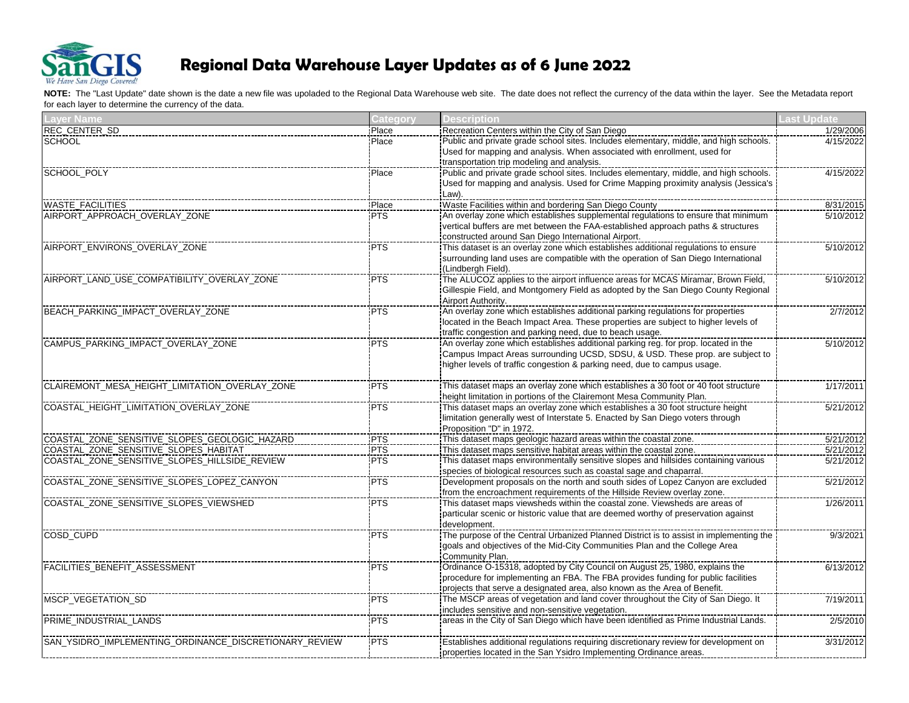

| <b>Laver Name</b>                                      | Category   | <b>Description</b>                                                                                                                                                | <b>ast Update</b> |
|--------------------------------------------------------|------------|-------------------------------------------------------------------------------------------------------------------------------------------------------------------|-------------------|
| REC_CENTER_SD                                          | Place      | Recreation Centers within the City of San Diego                                                                                                                   | 1/29/2006         |
| <b>SCHOOL</b>                                          | Place      | Public and private grade school sites. Includes elementary, middle, and high schools.<br>Used for mapping and analysis. When associated with enrollment, used for | 4/15/2022         |
|                                                        |            | transportation trip modeling and analysis.                                                                                                                        |                   |
| SCHOOL POLY                                            | Place      |                                                                                                                                                                   | 4/15/2022         |
|                                                        |            | Used for mapping and analysis. Used for Crime Mapping proximity analysis (Jessica's                                                                               |                   |
|                                                        |            | Law).                                                                                                                                                             |                   |
| WASTE_FACILITIES                                       | Place      | Waste Facilities within and bordering San Diego County                                                                                                            | 8/31/2015         |
| AIRPORT_APPROACH_OVERLAY_ZONE                          | <b>PTS</b> |                                                                                                                                                                   | 5/10/2012         |
|                                                        |            | vertical buffers are met between the FAA-established approach paths & structures                                                                                  |                   |
|                                                        |            | constructed around San Diego International Airport.                                                                                                               |                   |
| AIRPORT_ENVIRONS_OVERLAY_ZONE                          | <b>PTS</b> |                                                                                                                                                                   | 5/10/2012         |
|                                                        |            | surrounding land uses are compatible with the operation of San Diego International                                                                                |                   |
|                                                        |            | (Lindbergh Field).                                                                                                                                                |                   |
| AIRPORT_LAND_USE_COMPATIBILITY_OVERLAY_ZONE            | <b>PTS</b> | The ALUCOZ applies to the airport influence areas for MCAS Miramar, Brown Field,                                                                                  | 5/10/2012         |
|                                                        |            | Gillespie Field, and Montgomery Field as adopted by the San Diego County Regional                                                                                 |                   |
|                                                        |            | Airport Authority.                                                                                                                                                |                   |
| BEACH_PARKING_IMPACT_OVERLAY_ZONE                      | <b>PTS</b> |                                                                                                                                                                   | 2/7/2012          |
|                                                        |            | located in the Beach Impact Area. These properties are subject to higher levels of                                                                                |                   |
|                                                        |            | traffic congestion and parking need, due to beach usage.                                                                                                          |                   |
| CAMPUS_PARKING_IMPACT_OVERLAY_ZONE                     | <b>PTS</b> | An overlay zone which establishes additional parking reg. for prop. located in the                                                                                | 5/10/2012         |
|                                                        |            | Campus Impact Areas surrounding UCSD, SDSU, & USD. These prop. are subject to                                                                                     |                   |
|                                                        |            | higher levels of traffic congestion & parking need, due to campus usage.                                                                                          |                   |
|                                                        |            |                                                                                                                                                                   |                   |
| CLAIREMONT_MESA_HEIGHT_LIMITATION_OVERLAY_ZONE         | <b>PTS</b> |                                                                                                                                                                   | 1/17/2011         |
|                                                        |            | height limitation in portions of the Clairemont Mesa Community Plan.                                                                                              |                   |
| COASTAL_HEIGHT_LIMITATION_OVERLAY_ZONE                 | <b>PTS</b> |                                                                                                                                                                   | 5/21/2012         |
|                                                        |            | Ilmitation generally west of Interstate 5. Enacted by San Diego voters through                                                                                    |                   |
| COASTAL_ZONE_SENSITIVE_SLOPES_GEOLOGIC_HAZARD          | PTS        | Proposition "D" in 1972.<br>This dataset maps geologic hazard areas within the coastal zone.                                                                      | 5/21/2012         |
| COASTAL_ZONE_SENSITIVE_SLOPES_HABITAT                  | <b>PTS</b> | This dataset maps sensitive habitat areas within the coastal zone.                                                                                                | 5/21/2012         |
| COASTAL_ZONE_SENSITIVE_SLOPES_HILLSIDE_REVIEW          | <b>PTS</b> | This dataset maps environmentally sensitive slopes and hillsides containing various                                                                               | 5/21/2012         |
|                                                        |            | species of biological resources such as coastal sage and chaparral.                                                                                               |                   |
| COASTAL ZONE SENSITIVE SLOPES LOPEZ CANYON             | <b>PTS</b> | Development proposals on the north and south sides of Lopez Canyon are excluded                                                                                   | 5/21/2012         |
|                                                        |            | from the encroachment requirements of the Hillside Review overlay zone.                                                                                           |                   |
| COASTAL_ZONE_SENSITIVE_SLOPES_VIEWSHED                 | <b>PTS</b> | This dataset maps viewsheds within the coastal zone. Viewsheds are areas of                                                                                       | 1/26/2011         |
|                                                        |            | particular scenic or historic value that are deemed worthy of preservation against                                                                                |                   |
|                                                        |            | development.                                                                                                                                                      |                   |
| COSD_CUPD                                              | <b>PTS</b> |                                                                                                                                                                   | 9/3/2021          |
|                                                        |            | goals and objectives of the Mid-City Communities Plan and the College Area                                                                                        |                   |
|                                                        |            | Community Plan.                                                                                                                                                   |                   |
| FACILITIES BENEFIT ASSESSMENT                          | <b>PTS</b> | Ordinance O-15318, adopted by City Council on August 25, 1980, explains the                                                                                       | 6/13/2012         |
|                                                        |            | procedure for implementing an FBA. The FBA provides funding for public facilities                                                                                 |                   |
|                                                        |            | projects that serve a designated area, also known as the Area of Benefit.                                                                                         |                   |
| <b>MSCP VEGETATION SD</b>                              | <b>PTS</b> | The MSCP areas of vegetation and land cover throughout the City of San Diego. It                                                                                  | 7/19/2011         |
|                                                        |            | includes sensitive and non-sensitive vegetation.                                                                                                                  |                   |
| PRIME_INDUSTRIAL_LANDS                                 | <b>PTS</b> |                                                                                                                                                                   | 2/5/2010          |
|                                                        |            |                                                                                                                                                                   |                   |
| SAN_YSIDRO_IMPLEMENTING_ORDINANCE_DISCRETIONARY_REVIEW | <b>PTS</b> | Establishes additional regulations requiring discretionary review for development on                                                                              | 3/31/2012         |
|                                                        |            | properties located in the San Ysidro Implementing Ordinance areas.                                                                                                |                   |
|                                                        |            |                                                                                                                                                                   |                   |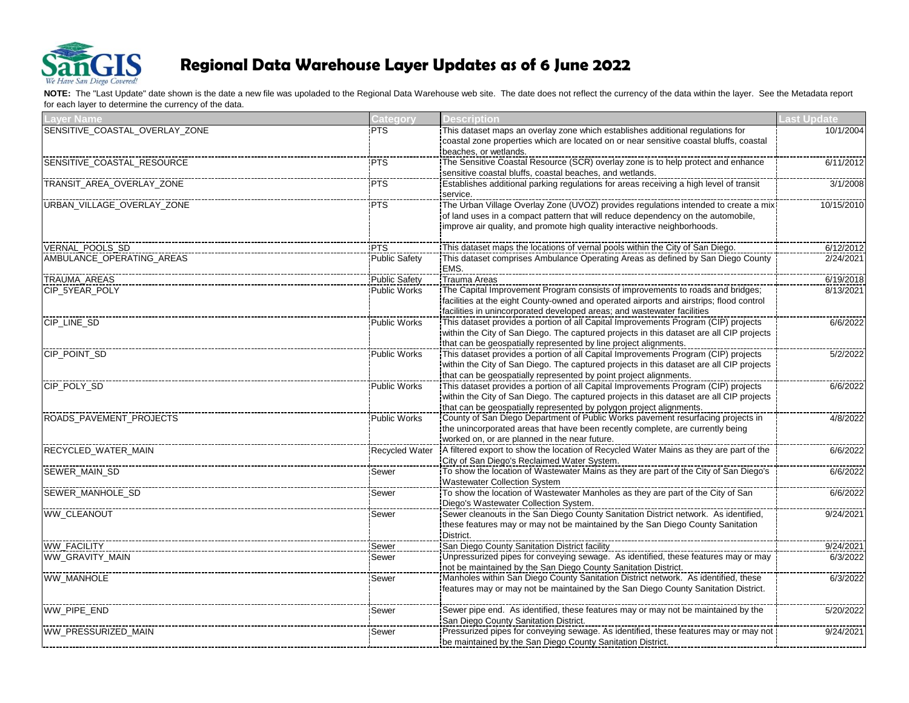

| <b>Layer Name</b>              | Category             | <b>Description</b>                                                                       | <b>Last Update</b> |
|--------------------------------|----------------------|------------------------------------------------------------------------------------------|--------------------|
| SENSITIVE_COASTAL_OVERLAY_ZONE | <b>PTS</b>           | This dataset maps an overlay zone which establishes additional regulations for           | 10/1/2004          |
|                                |                      | coastal zone properties which are located on or near sensitive coastal bluffs, coastal   |                    |
|                                |                      | beaches, or wetlands.                                                                    |                    |
| SENSITIVE_COASTAL_RESOURCE     | <b>PTS</b>           | The Sensitive Coastal Resource (SCR) overlay zone is to help protect and enhance         | 6/11/2012          |
|                                |                      | sensitive coastal bluffs, coastal beaches, and wetlands.                                 |                    |
| TRANSIT_AREA_OVERLAY_ZONE      | <b>PTS</b>           | Establishes additional parking regulations for areas receiving a high level of transit   | 3/1/2008           |
|                                |                      | service.                                                                                 |                    |
| URBAN_VILLAGE_OVERLAY_ZONE     | <b>PTS</b>           |                                                                                          | 10/15/2010         |
|                                |                      | of land uses in a compact pattern that will reduce dependency on the automobile,         |                    |
|                                |                      | improve air quality, and promote high quality interactive neighborhoods.                 |                    |
|                                |                      |                                                                                          |                    |
| VERNAL_POOLS_SD                | <b>PTS</b>           | This dataset maps the locations of vernal pools within the City of San Diego.            | 6/12/2012          |
| AMBULANCE_OPERATING_AREAS      | <b>Public Safety</b> |                                                                                          | 2/24/2021          |
|                                |                      | EMS.                                                                                     |                    |
| TRAUMA_AREAS                   | <b>Public Safety</b> | Trauma Areas                                                                             | 6/19/2018          |
| CIP_5YEAR_POLY                 | Public Works         | The Capital Improvement Program consists of improvements to roads and bridges;           | 8/13/2021          |
|                                |                      | facilities at the eight County-owned and operated airports and airstrips; flood control  |                    |
|                                |                      | facilities in unincorporated developed areas; and wastewater facilities                  |                    |
| CIP_LINE_SD                    | <b>Public Works</b>  |                                                                                          | 6/6/2022           |
|                                |                      | within the City of San Diego. The captured projects in this dataset are all CIP projects |                    |
|                                |                      | that can be geospatially represented by line project alignments.                         |                    |
| CIP_POINT_SD                   | Public Works         |                                                                                          | 5/2/2022           |
|                                |                      | within the City of San Diego. The captured projects in this dataset are all CIP projects |                    |
|                                |                      | that can be geospatially represented by point project alignments.                        |                    |
| CIP_POLY_SD                    | Public Works         | This dataset provides a portion of all Capital Improvements Program (CIP) projects       | 6/6/2022           |
|                                |                      | within the City of San Diego. The captured projects in this dataset are all CIP projects |                    |
|                                |                      | that can be geospatially represented by polygon project alignments.                      |                    |
| ROADS PAVEMENT PROJECTS        | <b>Public Works</b>  | County of San Diego Department of Public Works pavement resurfacing projects in          | 4/8/2022           |
|                                |                      | the unincorporated areas that have been recently complete, are currently being           |                    |
|                                |                      | worked on, or are planned in the near future.                                            |                    |
| RECYCLED_WATER_MAIN            | Recycled Water       | A filtered export to show the location of Recycled Water Mains as they are part of the   | 6/6/2022           |
|                                |                      | City of San Diego's Reclaimed Water System.                                              |                    |
| SEWER_MAIN_SD                  | Sewer                | To show the location of Wastewater Mains as they are part of the City of San Diego's     | 6/6/2022           |
|                                |                      | <b>Wastewater Collection System</b>                                                      |                    |
| SEWER_MANHOLE_SD               | Sewer                | To show the location of Wastewater Manholes as they are part of the City of San          | 6/6/2022           |
|                                |                      | Diego's Wastewater Collection System.                                                    |                    |
| WW_CLEANOUT                    | Sewer                |                                                                                          | 9/24/2021          |
|                                |                      | these features may or may not be maintained by the San Diego County Sanitation           |                    |
|                                |                      | District.                                                                                |                    |
| <b>WW FACILITY</b>             | Sewer                | San Diego County Sanitation District facility                                            | 9/24/2021          |
| <b>WW_GRAVITY_MAIN</b>         | Sewer                | Unpressurized pipes for conveying sewage. As identified, these features may or may       | 6/3/2022           |
|                                |                      | not be maintained by the San Diego County Sanitation District.                           |                    |
| WW_MANHOLE                     | Sewer                | Manholes within San Diego County Sanitation District network. As identified, these       | 6/3/2022           |
|                                |                      | features may or may not be maintained by the San Diego County Sanitation District.       |                    |
|                                |                      |                                                                                          |                    |
| WW_PIPE_END                    | Sewer                | Sewer pipe end. As identified, these features may or may not be maintained by the        | 5/20/2022          |
|                                |                      | San Diego County Sanitation District.                                                    |                    |
| WW_PRESSURIZED_MAIN            | Sewer                |                                                                                          | 9/24/2021          |
|                                |                      | be maintained by the San Diego County Sanitation District.                               |                    |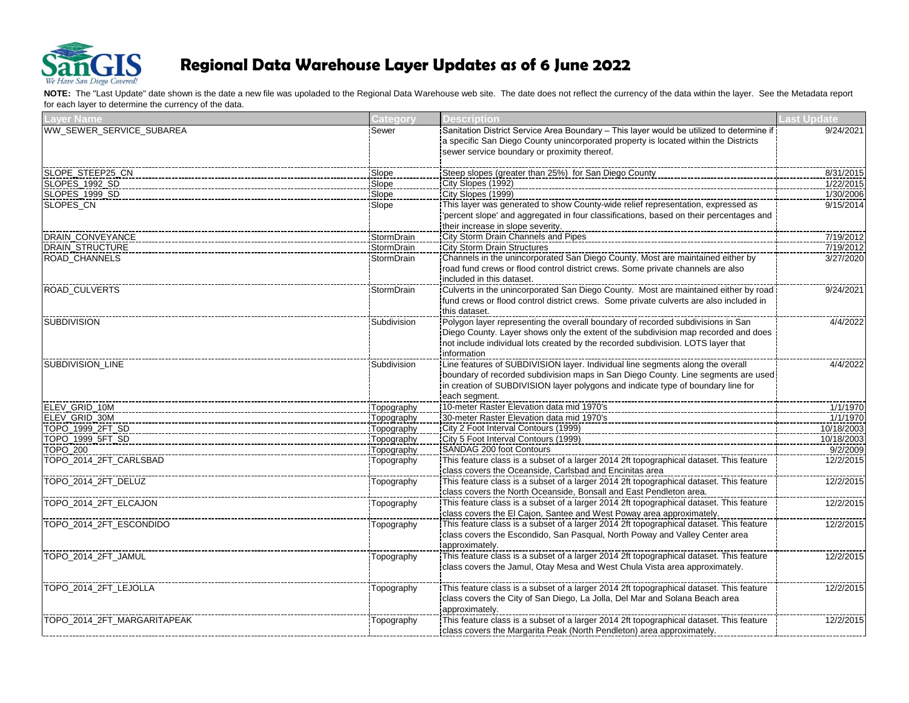

| <b>Layer Name</b>           | Category    | <b>Description</b>                                                                             | <b>Last Update</b> |
|-----------------------------|-------------|------------------------------------------------------------------------------------------------|--------------------|
| WW_SEWER_SERVICE_SUBAREA    | Sewer       | Sanitation District Service Area Boundary - This layer would be utilized to determine if       | 9/24/2021          |
|                             |             | a specific San Diego County unincorporated property is located within the Districts            |                    |
|                             |             | sewer service boundary or proximity thereof.                                                   |                    |
| SLOPE_STEEP25_CN            | Slope       | Steep slopes (greater than 25%) for San Diego County                                           | 8/31/2015          |
| SLOPES_1992_SD              | Slope       | City Slopes (1992)                                                                             | 1/22/2015          |
| SLOPES_1999_SD              | Slope       | City Slopes (1999)                                                                             | 1/30/2006          |
| <b>SLOPES CN</b>            | Slope       | This layer was generated to show County-wide relief representation, expressed as               | 9/15/2014          |
|                             |             | 'percent slope' and aggregated in four classifications, based on their percentages and         |                    |
|                             |             | their increase in slope severity.                                                              |                    |
| DRAIN_CONVEYANCE            | StormDrain  | City Storm Drain Channels and Pipes                                                            | 7/19/2012          |
| <b>DRAIN STRUCTURE</b>      | StormDrain  | <b>City Storm Drain Structures</b>                                                             | 7/19/2012          |
| ROAD_CHANNELS               | StormDrain  | Channels in the unincorporated San Diego County. Most are maintained either by                 | 3/27/2020          |
|                             |             | road fund crews or flood control district crews. Some private channels are also                |                    |
|                             |             | included in this dataset.                                                                      |                    |
| <b>ROAD CULVERTS</b>        | StormDrain  | Culverts in the unincorporated San Diego County. Most are maintained either by road            | 9/24/2021          |
|                             |             | fund crews or flood control district crews. Some private culverts are also included in         |                    |
|                             |             | this dataset.                                                                                  |                    |
| <b>SUBDIVISION</b>          | Subdivision |                                                                                                | 4/4/2022           |
|                             |             | Diego County. Layer shows only the extent of the subdivision map recorded and does             |                    |
|                             |             | not include individual lots created by the recorded subdivision. LOTS layer that               |                    |
|                             |             | information                                                                                    |                    |
| SUBDIVISION_LINE            | Subdivision |                                                                                                | 4/4/2022           |
|                             |             | boundary of recorded subdivision maps in San Diego County. Line segments are used:             |                    |
|                             |             | in creation of SUBDIVISION layer polygons and indicate type of boundary line for               |                    |
|                             |             | each segment.                                                                                  |                    |
| ELEV_GRID_10M               | Topography  | 10-meter Raster Elevation data mid 1970's                                                      | 1/1/1970           |
| ELEV GRID 30M               | Topography  | 30-meter Raster Elevation data mid 1970's                                                      | 1/1/1970           |
| TOPO_1999_2FT_SD            | Topography  | City 2 Foot Interval Contours (1999)                                                           | 10/18/2003         |
| TOPO 1999 5FT SD            | Topography  | City 5 Foot Interval Contours (1999)                                                           | 10/18/2003         |
| <b>TOPO 200</b>             | Topography  | <b>SANDAG 200 foot Contours</b>                                                                | 9/2/2009           |
| TOPO 2014 2FT CARLSBAD      | Topography  | This feature class is a subset of a larger 2014 2ft topographical dataset. This feature        | 12/2/2015          |
|                             |             | class covers the Oceanside, Carlsbad and Encinitas area                                        |                    |
| TOPO 2014 2FT DELUZ         | Topography  | This feature class is a subset of a larger 2014 2ft topographical dataset. This feature        | 12/2/2015          |
|                             |             | class covers the North Oceanside, Bonsall and East Pendleton area.                             |                    |
| TOPO_2014_2FT_ELCAJON       | Topography  | This feature class is a subset of a larger 2014 2ft topographical dataset. This feature        | 12/2/2015          |
|                             |             | class covers the El Cajon, Santee and West Poway area approximately.                           |                    |
| TOPO 2014 2FT ESCONDIDO     | Topography  | This feature class is a subset of a larger 2014 2ft topographical dataset. This feature        | 12/2/2015          |
|                             |             | class covers the Escondido, San Pasqual, North Poway and Valley Center area                    |                    |
|                             |             | approximately.                                                                                 |                    |
| TOPO_2014_2FT_JAMUL         | Topography  | <u>This feature class is a subset of a larger 2014 2ft topographical dataset. This feature</u> | 12/2/2015          |
|                             |             | class covers the Jamul, Otay Mesa and West Chula Vista area approximately.                     |                    |
|                             |             |                                                                                                |                    |
| TOPO_2014_2FT_LEJOLLA       | Topography  |                                                                                                | 12/2/2015          |
|                             |             | class covers the City of San Diego, La Jolla, Del Mar and Solana Beach area                    |                    |
|                             |             | approximately.                                                                                 |                    |
| TOPO_2014_2FT_MARGARITAPEAK | Topography  | This feature class is a subset of a larger 2014 2ft topographical dataset. This feature        | 12/2/2015          |
|                             |             | class covers the Margarita Peak (North Pendleton) area approximately.                          |                    |
|                             |             |                                                                                                |                    |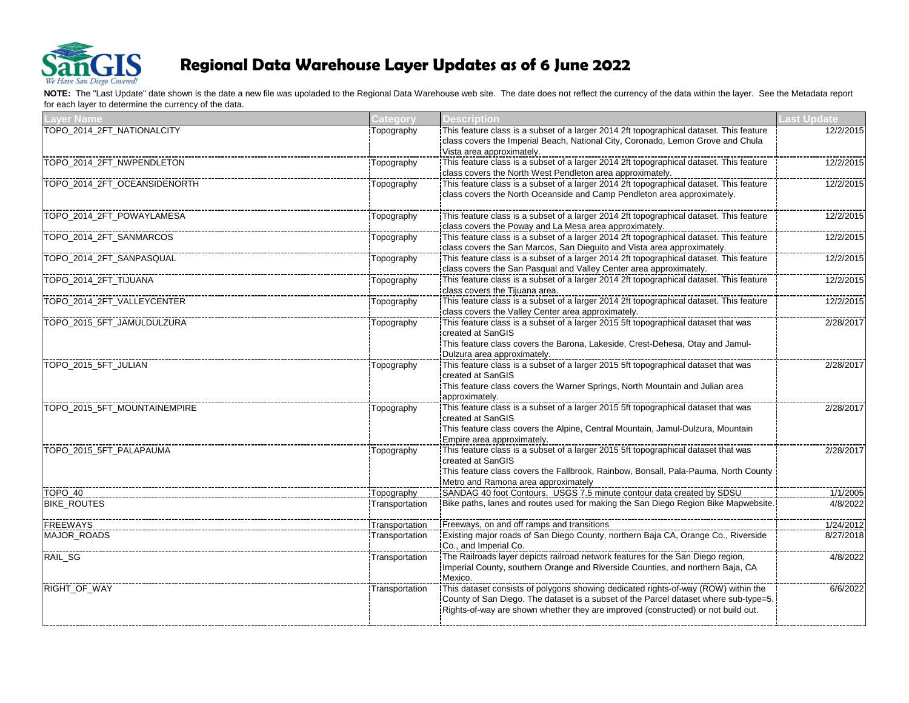

| <b>Layer Name</b>            | <b>Category</b> | <b>Description</b>                                                                                                                                                                                                                                              | <b>Last Update</b> |
|------------------------------|-----------------|-----------------------------------------------------------------------------------------------------------------------------------------------------------------------------------------------------------------------------------------------------------------|--------------------|
| TOPO_2014_2FT_NATIONALCITY   | Topography      | This feature class is a subset of a larger 2014 2ft topographical dataset. This feature<br>class covers the Imperial Beach, National City, Coronado, Lemon Grove and Chula<br>Vista area approximately.                                                         | 12/2/2015          |
| TOPO_2014_2FT_NWPENDLETON    | Topography      | This feature class is a subset of a larger 2014 2ft topographical dataset. This feature<br>class covers the North West Pendleton area approximately.                                                                                                            | 12/2/2015          |
| TOPO_2014_2FT_OCEANSIDENORTH | Topography      | This feature class is a subset of a larger 2014 2ft topographical dataset. This feature<br>class covers the North Oceanside and Camp Pendleton area approximately.                                                                                              | 12/2/2015          |
| TOPO_2014_2FT_POWAYLAMESA    | Topography      | This feature class is a subset of a larger 2014 2ft topographical dataset. This feature<br>class covers the Poway and La Mesa area approximately.                                                                                                               | 12/2/2015          |
| TOPO_2014_2FT_SANMARCOS      | Topography      | This feature class is a subset of a larger 2014 2ft topographical dataset. This feature<br>class covers the San Marcos, San Dieguito and Vista area approximately.                                                                                              | 12/2/2015          |
| TOPO_2014_2FT_SANPASQUAL     | Topography      | This feature class is a subset of a larger 2014 2ft topographical dataset. This feature<br>class covers the San Pasqual and Valley Center area approximately.                                                                                                   | 12/2/2015          |
| TOPO 2014 2FT TIJUANA        | Topography      | This feature class is a subset of a larger 2014 2ft topographical dataset. This feature<br>class covers the Tiiuana area.                                                                                                                                       | 12/2/2015          |
| TOPO_2014_2FT_VALLEYCENTER   | Topography      | class covers the Valley Center area approximately.                                                                                                                                                                                                              | 12/2/2015          |
| TOPO_2015_5FT_JAMULDULZURA   | Topography      | created at SanGIS<br>This feature class covers the Barona, Lakeside, Crest-Dehesa, Otay and Jamul-<br>Dulzura area approximately.                                                                                                                               | 2/28/2017          |
| TOPO 2015 5FT JULIAN         | Topography      | This feature class is a subset of a larger 2015 5ft topographical dataset that was<br>created at SanGIS<br>This feature class covers the Warner Springs, North Mountain and Julian area<br>approximately.                                                       | 2/28/2017          |
| TOPO_2015_5FT_MOUNTAINEMPIRE | Topography      | This feature class is a subset of a larger 2015 5ft topographical dataset that was<br>created at SanGIS<br>This feature class covers the Alpine, Central Mountain, Jamul-Dulzura, Mountain<br>Empire area approximately.                                        | 2/28/2017          |
| TOPO_2015_5FT_PALAPAUMA      | Topography      | This feature class is a subset of a larger 2015 5ft topographical dataset that was<br>created at SanGIS<br>This feature class covers the Fallbrook, Rainbow, Bonsall, Pala-Pauma, North County<br>Metro and Ramona area approximately                           | 2/28/2017          |
| TOPO 40                      | Topography      | SANDAG 40 foot Contours. USGS 7.5 minute contour data created by SDSU                                                                                                                                                                                           | 1/1/2005           |
| <b>BIKE ROUTES</b>           | Transportation  | Bike paths, lanes and routes used for making the San Diego Region Bike Mapwebsite.                                                                                                                                                                              | 4/8/2022           |
| <b>FREEWAYS</b>              | Transportation  | Freeways, on and off ramps and transitions                                                                                                                                                                                                                      | 1/24/2012          |
| <b>MAJOR ROADS</b>           | Transportation  | Co., and Imperial Co.                                                                                                                                                                                                                                           | 8/27/2018          |
| RAIL_SG                      | Transportation  | Imperial County, southern Orange and Riverside Counties, and northern Baja, CA<br>Mexico.                                                                                                                                                                       | 4/8/2022           |
| RIGHT_OF_WAY                 | Transportation  | This dataset consists of polygons showing dedicated rights-of-way (ROW) within the<br>County of San Diego. The dataset is a subset of the Parcel dataset where sub-type=5.<br>Rights-of-way are shown whether they are improved (constructed) or not build out. | 6/6/2022           |